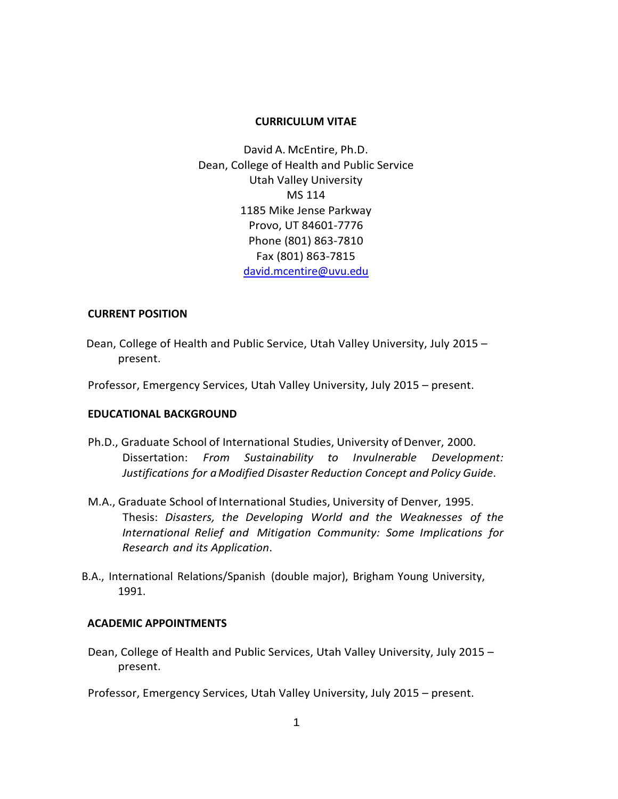### **CURRICULUM VITAE**

David A. McEntire, Ph.D. Dean, College of Health and Public Service Utah Valley University MS 114 1185 Mike Jense Parkway Provo, UT 84601-7776 Phone (801) 863-7810 Fax (801) 863-7815 [david.mcentire@uvu.edu](mailto:david.mcentire@uvu.edu)

### **CURRENT POSITION**

- Dean, College of Health and Public Service, Utah Valley University, July 2015 present.
- Professor, Emergency Services, Utah Valley University, July 2015 present.

### **EDUCATIONAL BACKGROUND**

- Ph.D., Graduate School of International Studies, University of Denver, 2000. Dissertation: *From Sustainability to Invulnerable Development: Justifications for aModified Disaster Reduction Concept and Policy Guide*.
- M.A., Graduate School of International Studies, University of Denver, 1995. Thesis: *Disasters, the Developing World and the Weaknesses of the International Relief and Mitigation Community: Some Implications for Research and its Application*.
- B.A., International Relations/Spanish (double major), Brigham Young University, 1991.

### **ACADEMIC APPOINTMENTS**

Dean, College of Health and Public Services, Utah Valley University, July 2015 – present.

Professor, Emergency Services, Utah Valley University, July 2015 – present.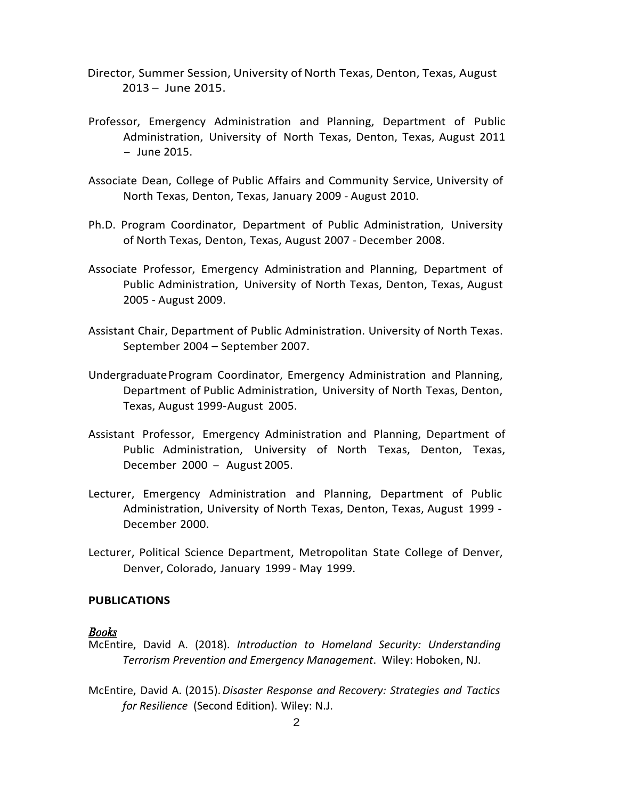- Director, Summer Session, University of North Texas, Denton, Texas, August 2013 – June 2015.
- Professor, Emergency Administration and Planning, Department of Public Administration, University of North Texas, Denton, Texas, August 2011 - June 2015.
- Associate Dean, College of Public Affairs and Community Service, University of North Texas, Denton, Texas, January 2009 - August 2010.
- Ph.D. Program Coordinator, Department of Public Administration, University of North Texas, Denton, Texas, August 2007 - December 2008.
- Associate Professor, Emergency Administration and Planning, Department of Public Administration, University of North Texas, Denton, Texas, August 2005 - August 2009.
- Assistant Chair, Department of Public Administration. University of North Texas. September 2004 – September 2007.
- UndergraduateProgram Coordinator, Emergency Administration and Planning, Department of Public Administration, University of North Texas, Denton, Texas, August 1999-August 2005.
- Assistant Professor, Emergency Administration and Planning, Department of Public Administration, University of North Texas, Denton, Texas, December <sup>2000</sup> - August 2005.
- Lecturer, Emergency Administration and Planning, Department of Public Administration, University of North Texas, Denton, Texas, August 1999 - December 2000.
- Lecturer, Political Science Department, Metropolitan State College of Denver, Denver, Colorado, January 1999 - May 1999.

# **PUBLICATIONS**

### **Books**

- McEntire, David A. (2018). *Introduction to Homeland Security: Understanding Terrorism Prevention and Emergency Management*. Wiley: Hoboken, NJ.
- McEntire, David A. (2015).*Disaster Response and Recovery: Strategies and Tactics for Resilience* (Second Edition). Wiley: N.J.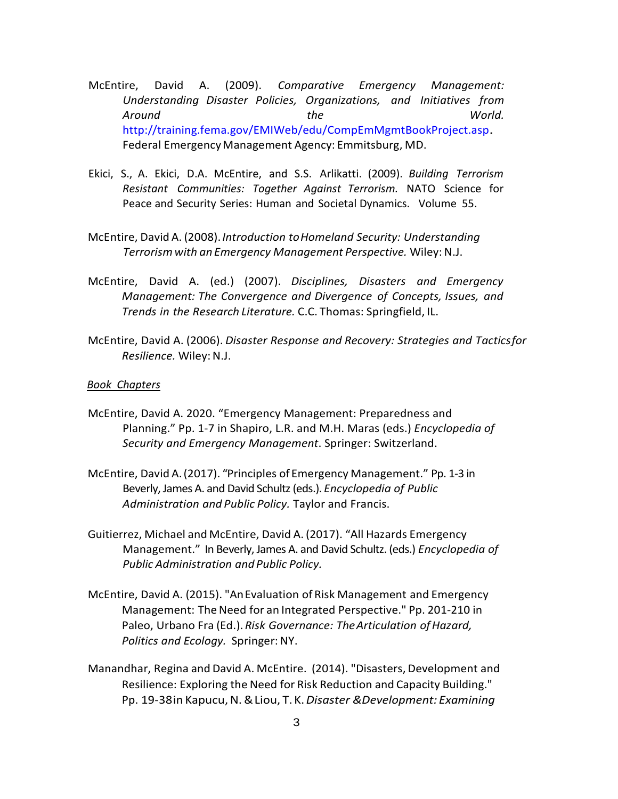- McEntire, David A. (2009). *Comparative Emergency Management: Understanding Disaster Policies, Organizations, and Initiatives from Around the World.* [http://training.fema.gov/EMIWeb/edu/CompEmMgmtBookProject.asp.](http://training.fema.gov/EMIWeb/edu/CompEmMgmtBookProject.asp) Federal EmergencyManagement Agency: Emmitsburg, MD.
- Ekici, S., A. Ekici, D.A. McEntire, and S.S. Arlikatti. (2009). *Building Terrorism Resistant Communities: Together Against Terrorism.* NATO Science for Peace and Security Series: Human and Societal Dynamics. Volume 55.
- McEntire, David A. (2008).*Introduction toHomeland Security: Understanding Terrorismwith an Emergency Management Perspective.* Wiley:N.J.
- McEntire, David A. (ed.) (2007). *Disciplines, Disasters and Emergency Management: The Convergence and Divergence of Concepts, Issues, and Trends in the Research Literature.* C.C. Thomas: Springfield, IL.
- McEntire, David A. (2006). *Disaster Response and Recovery: Strategies and Tacticsfor Resilience.* Wiley:N.J.

### *Book Chapters*

- McEntire, David A. 2020. "Emergency Management: Preparedness and Planning." Pp. 1-7 in Shapiro, L.R. and M.H. Maras (eds.) *Encyclopedia of Security and Emergency Management*. Springer: Switzerland.
- McEntire, David A.(2017). "Principles of Emergency Management." Pp. 1-3 in Beverly, James A. and David Schultz (eds.). *Encyclopedia of Public Administration and Public Policy.* Taylor and Francis.
- Guitierrez, Michael and McEntire, David A. (2017). "All Hazards Emergency Management." In Beverly, James A. and David Schultz. (eds.) *Encyclopedia of Public Administration and Public Policy.*
- McEntire, David A. (2015). "AnEvaluation of Risk Management and Emergency Management: The Need for an Integrated Perspective." Pp. 201-210 in Paleo, Urbano Fra (Ed.).*Risk Governance: TheArticulation ofHazard, Politics and Ecology.* Springer:NY.
- Manandhar, Regina and David A. McEntire. (2014). "Disasters, Development and Resilience: Exploring the Need for Risk Reduction and Capacity Building." Pp. 19-38in Kapucu,N.&Liou, T.K.*Disaster &Development: Examining*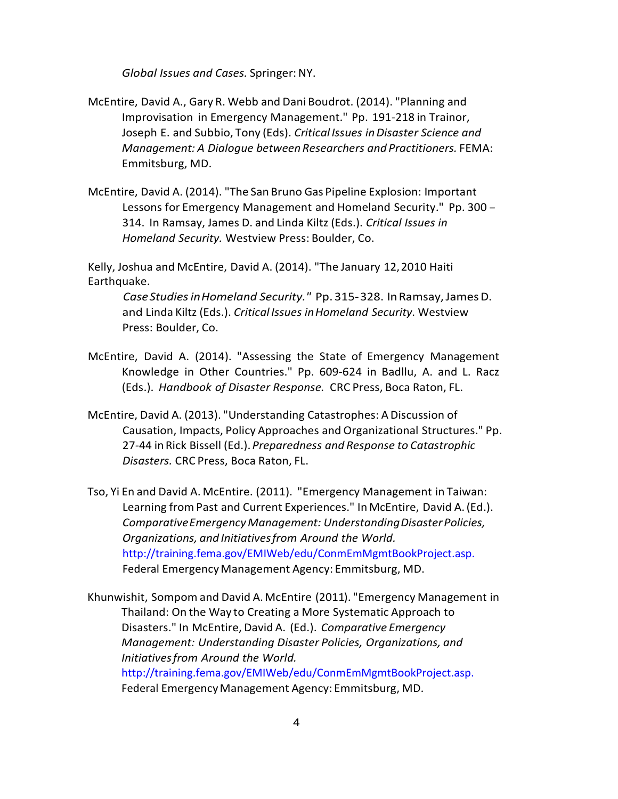*Global Issues and Cases.* Springer:NY.

- McEntire, David A., Gary R. Webb and Dani Boudrot. (2014). "Planning and Improvisation in Emergency Management." Pp. 191-218 in Trainor, Joseph E. and Subbio, Tony (Eds). *Critical Issues inDisaster Science and Management: A Dialogue betweenResearchers and Practitioners.* FEMA: Emmitsburg, MD.
- McEntire, David A. (2014). "The San Bruno Gas Pipeline Explosion: Important Lessons for Emergency Management and Homeland Security." Pp. <sup>300</sup> - 314. In Ramsay, James D. and Linda Kiltz (Eds.). *Critical Issues in Homeland Security.* Westview Press: Boulder, Co.

Kelly, Joshua and McEntire, David A. (2014). "The January 12,2010 Haiti Earthquake.

*CaseStudiesinHomeland Security."* Pp. 315-328. InRamsay,JamesD. and Linda Kiltz (Eds.). *Critical Issues inHomeland Security.* Westview Press: Boulder, Co.

- McEntire, David A. (2014). "Assessing the State of Emergency Management Knowledge in Other Countries." Pp. 609-624 in Badllu, A. and L. Racz (Eds.). *Handbook of Disaster Response.* CRC Press, Boca Raton, FL.
- McEntire, David A. (2013). "Understanding Catastrophes: ADiscussion of Causation, Impacts, Policy Approaches and Organizational Structures." Pp. 27-44 in Rick Bissell (Ed.). *Preparedness and Response to Catastrophic Disasters.* CRC Press, Boca Raton, FL.
- Tso, Yi En and David A. McEntire. (2011). "Emergency Management in Taiwan: Learning fromPast and Current Experiences." In McEntire, David A.(Ed.). *ComparativeEmergencyManagement: UnderstandingDisasterPolicies, Organizations, and Initiativesfrom Around the World.* <http://training.fema.gov/EMIWeb/edu/ConmEmMgmtBookProject.asp.> Federal Emergency Management Agency: Emmitsburg, MD.

Khunwishit, Sompom and David A.McEntire (2011). "Emergency Management in Thailand: On the Way to Creating a More Systematic Approach to Disasters." In McEntire, David A. (Ed.). *Comparative Emergency Management: Understanding Disaster Policies, Organizations, and Initiativesfrom Around the World.* [http://training.fema.gov/EMIWeb/edu/ConmEmMgmtBookProject.asp.](http://training.fema.gov/EMIWeb/edu/ConmEmMgmtBookProject.asp)  Federal EmergencyManagement Agency: Emmitsburg, MD.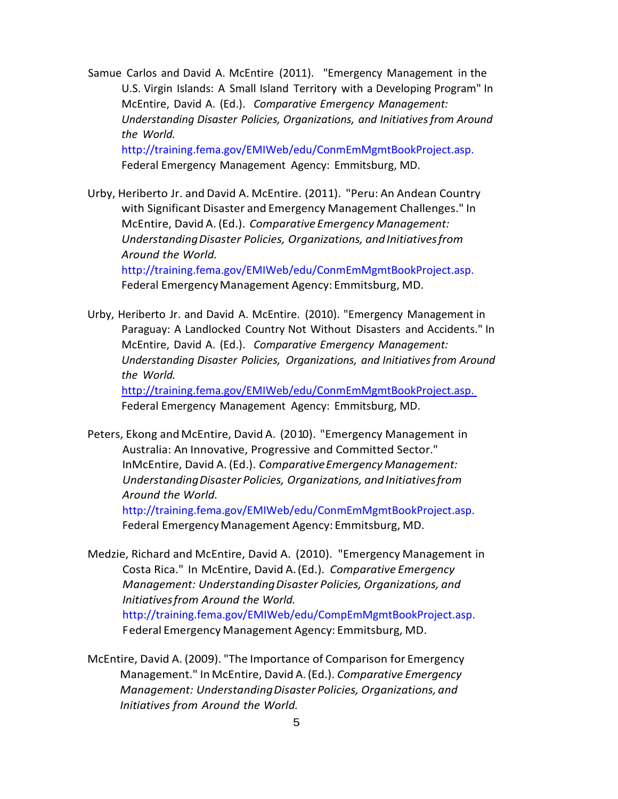Samue Carlos and David A. McEntire (2011). "Emergency Management in the U.S. Virgin Islands: A Small Island Territory with a Developing Program" In McEntire, David A. (Ed.). *Comparative Emergency Management: Understanding Disaster Policies, Organizations, and Initiativesfrom Around the World.* http://training.fema.gov/EMIWeb/edu/ConmEmMgmtBookProject.asp.

Federal Emergency Management Agency: Emmitsburg, MD.

Urby, Heriberto Jr. and David A. McEntire. (2011). "Peru: An Andean Country with Significant Disaster and Emergency Management Challenges." In McEntire, David A. (Ed.). *Comparative Emergency Management: UnderstandingDisaster Policies, Organizations, and Initiativesfrom Around the World.*

http://training.fema.gov/EMIWeb/edu/ConmEmMgmtBookProject.asp. Federal Emergency Management Agency: Emmitsburg, MD.

Urby, Heriberto Jr. and David A. McEntire. (2010). "Emergency Management in Paraguay: A Landlocked Country Not Without Disasters and Accidents." In McEntire, David A. (Ed.). *Comparative Emergency Management: Understanding Disaster Policies, Organizations, and Initiatives from Around the World.* <http://training.fema.gov/EMIWeb/edu/ConmEmMgmtBookProject.asp.>

Federal Emergency Management Agency: Emmitsburg, MD.

Peters, Ekong and McEntire, David A. (2010). "Emergency Management in Australia: An Innovative, Progressive and Committed Sector." InMcEntire, David A. (Ed.). *ComparativeEmergencyManagement: UnderstandingDisaster Policies, Organizations, and Initiativesfrom Around the World.*

http://training.fema.gov/EMIWeb/edu/ConmEmMgmtBookProject.asp. Federal Emergency Management Agency: Emmitsburg, MD.

Medzie, Richard and McEntire, David A. (2010). "Emergency Management in Costa Rica." In McEntire, David A.(Ed.). *Comparative Emergency Management: UnderstandingDisaster Policies, Organizations, and Initiativesfrom Around the World.*  [http://training.fema.gov/EMIWeb/edu/CompEmMgmtBookProject.asp.](http://training.fema.gov/EMIWeb/edu/CompEmMgmtBookProject.asp) Federal Emergency Management Agency: Emmitsburg, MD.

McEntire, David A. (2009). "The Importance of Comparison for Emergency Management." In McEntire, David A.(Ed.). *Comparative Emergency Management: UnderstandingDisaster Policies, Organizations, and Initiatives from Around the World.*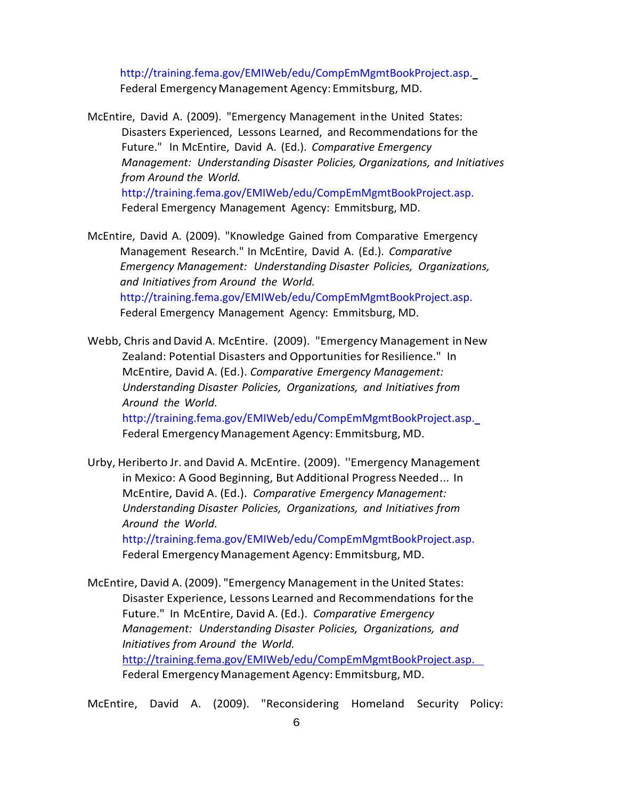http://training.fema.gov/EMIWeb/edu/CompEmMgmtBookProject.asp. Federal EmergencyManagement Agency: Emmitsburg, MD.

- McEntire, David A. (2009). "Emergency Management inthe United States: Disasters Experienced, Lessons Learned, and Recommendations for the Future." In McEntire, David A. (Ed.). *Comparative Emergency Management: Understanding Disaster Policies, Organizations, and Initiatives from Around the World.* http://training.fema.gov/EMIWeb/edu/CompEmMgmtBookProject.asp. Federal Emergency Management Agency: Emmitsburg, MD.
- McEntire, David A. (2009). "Knowledge Gained from Comparative Emergency Management Research." In McEntire, David A. (Ed.). *Comparative Emergency Management: Understanding Disaster Policies, Organizations, and Initiatives from Around the World.* http://training.fema.gov/EMIWeb/edu/CompEmMgmtBookProject.asp. Federal Emergency Management Agency: Emmitsburg, MD.
- Webb, Chris and David A. McEntire. (2009). "Emergency Management in New Zealand: Potential Disasters and Opportunities for Resilience." In McEntire, David A. (Ed.). *Comparative Emergency Management: Understanding Disaster Policies, Organizations, and Initiatives from Around the World.*  http://training.fema.gov/EMIWeb/edu/CompEmMgmtBookProject.asp. Federal EmergencyManagement Agency: Emmitsburg, MD.
- Urby, Heriberto Jr. and David A. McEntire. (2009). ''Emergency Management in Mexico: A Good Beginning, But Additional Progress Needed... In McEntire, David A. (Ed.). *Comparative Emergency Management: Understanding Disaster Policies, Organizations, and Initiatives from Around the World.*

http://training.fema.gov/EMIWeb/edu/CompEmMgmtBookProject.asp. Federal EmergencyManagement Agency: Emmitsburg, MD.

- McEntire, David A. (2009). "Emergency Management in the United States: Disaster Experience, Lessons Learned and Recommendations forthe Future." In McEntire, David A. (Ed.). *Comparative Emergency Management: Understanding Disaster Policies, Organizations, and Initiatives from Around the World.* <http://training.fema.gov/EMIWeb/edu/CompEmMgmtBookProject.asp.> Federal Emergency Management Agency: Emmitsburg, MD.
- McEntire, David A. (2009). "Reconsidering Homeland Security Policy: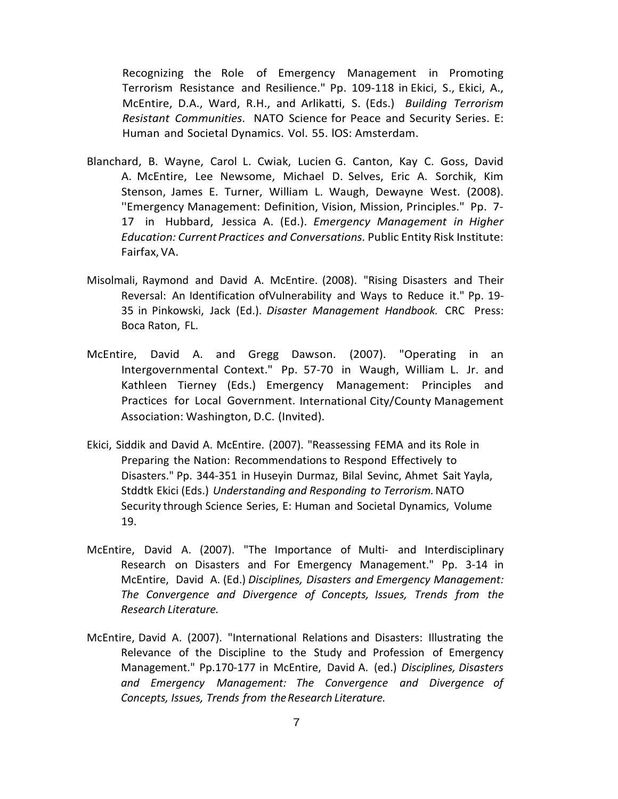Recognizing the Role of Emergency Management in Promoting Terrorism Resistance and Resilience." Pp. 109-118 in Ekici, S., Ekici, A., McEntire, D.A., Ward, R.H., and Arlikatti, S. (Eds.) *Building Terrorism Resistant Communities.* NATO Science for Peace and Security Series. E: Human and Societal Dynamics. Vol. 55. lOS: Amsterdam.

- Blanchard, B. Wayne, Carol L. Cwiak, Lucien G. Canton, Kay C. Goss, David A. McEntire, Lee Newsome, Michael D. Selves, Eric A. Sorchik, Kim Stenson, James E. Turner, William L. Waugh, Dewayne West. (2008). ''Emergency Management: Definition, Vision, Mission, Principles." Pp. 7- 17 in Hubbard, Jessica A. (Ed.). *Emergency Management in Higher Education: CurrentPractices and Conversations.* Public Entity Risk Institute: Fairfax,VA.
- Misolmali, Raymond and David A. McEntire. (2008). "Rising Disasters and Their Reversal: An Identification ofVulnerability and Ways to Reduce it." Pp. 19- 35 in Pinkowski, Jack (Ed.). *Disaster Management Handbook.* CRC Press: Boca Raton, FL.
- McEntire, David A. and Gregg Dawson. (2007). "Operating in an Intergovernmental Context." Pp. 57-70 in Waugh, William L. Jr. and Kathleen Tierney (Eds.) Emergency Management: Principles and Practices for Local Government. International City/County Management Association: Washington, D.C. (Invited).
- Ekici, Siddik and David A. McEntire. (2007). "Reassessing FEMA and its Role in Preparing the Nation: Recommendations to Respond Effectively to Disasters." Pp. 344-351 in Huseyin Durmaz, Bilal Sevinc, Ahmet Sait Yayla, Stddtk Ekici (Eds.) *Understanding and Responding to Terrorism.*NATO Security through Science Series, E: Human and Societal Dynamics, Volume 19.
- McEntire, David A. (2007). "The Importance of Multi- and Interdisciplinary Research on Disasters and For Emergency Management." Pp. 3-14 in McEntire, David A. (Ed.) *Disciplines, Disasters and Emergency Management: The Convergence and Divergence of Concepts, Issues, Trends from the Research Literature.*
- McEntire, David A. (2007). "International Relations and Disasters: Illustrating the Relevance of the Discipline to the Study and Profession of Emergency Management." Pp.170-177 in McEntire, David A. (ed.) *Disciplines, Disasters and Emergency Management: The Convergence and Divergence of Concepts, Issues, Trends from theResearch Literature.*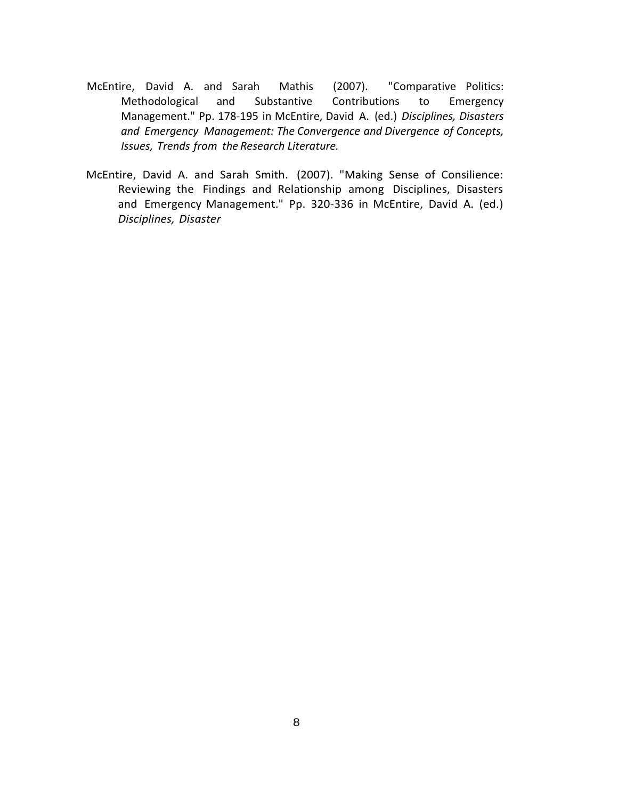- McEntire, David A. and Sarah Mathis (2007). "Comparative Politics: Methodological and Substantive Contributions to Emergency Management." Pp. 178-195 in McEntire, David A. (ed.) *Disciplines, Disasters and Emergency Management: The Convergence and Divergence of Concepts, Issues, Trends from the Research Literature.*
- McEntire, David A. and Sarah Smith. (2007). "Making Sense of Consilience: Reviewing the Findings and Relationship among Disciplines, Disasters and Emergency Management." Pp. 320-336 in McEntire, David A. (ed.) *Disciplines, Disaster*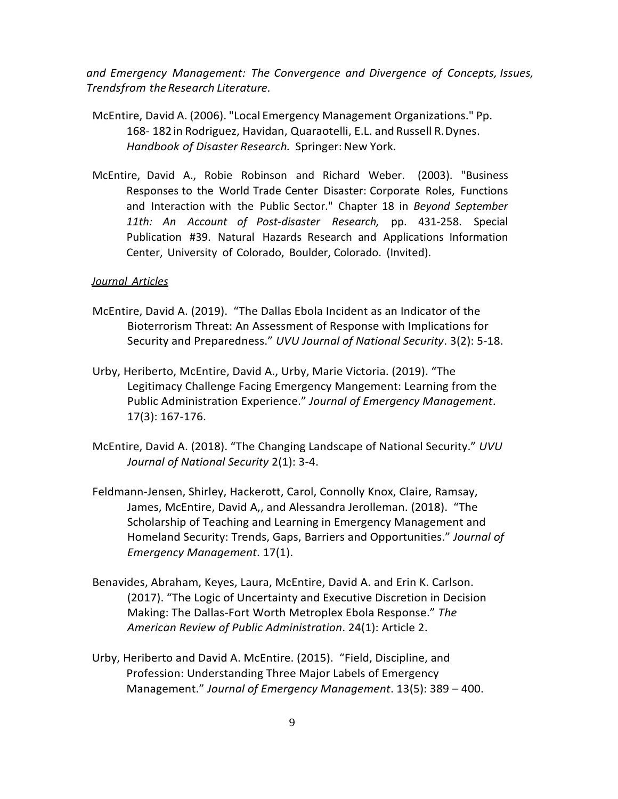*and Emergency Management: The Convergence and Divergence of Concepts, Issues, Trendsfrom theResearch Literature.*

- McEntire, David A. (2006). "Local Emergency Management Organizations." Pp. 168- 182in Rodriguez, Havidan, Quaraotelli, E.L. and Russell R.Dynes. *Handbook of Disaster Research.* Springer: New York.
- McEntire, David A., Robie Robinson and Richard Weber. (2003). "Business Responses to the World Trade Center Disaster: Corporate Roles, Functions and Interaction with the Public Sector." Chapter 18 in *Beyond September 11th: An Account of Post-disaster Research,* pp. 431-258. Special Publication #39. Natural Hazards Research and Applications Information Center, University of Colorado, Boulder, Colorado. (Invited).

# *Journal Articles*

- McEntire, David A. (2019). "The Dallas Ebola Incident as an Indicator of the Bioterrorism Threat: An Assessment of Response with Implications for Security and Preparedness." *UVU Journal of National Security*. 3(2): 5-18.
- Urby, Heriberto, McEntire, David A., Urby, Marie Victoria. (2019). "The Legitimacy Challenge Facing Emergency Mangement: Learning from the Public Administration Experience." *Journal of Emergency Management*. 17(3): 167-176.
- McEntire, David A. (2018). "The Changing Landscape of National Security." *UVU Journal of National Security* 2(1): 3-4.
- Feldmann-Jensen, Shirley, Hackerott, Carol, Connolly Knox, Claire, Ramsay, James, McEntire, David A,, and Alessandra Jerolleman. (2018). "The Scholarship of Teaching and Learning in Emergency Management and Homeland Security: Trends, Gaps, Barriers and Opportunities." *Journal of Emergency Management*. 17(1).
- Benavides, Abraham, Keyes, Laura, McEntire, David A. and Erin K. Carlson. (2017). "The Logic of Uncertainty and Executive Discretion in Decision Making: The Dallas-Fort Worth Metroplex Ebola Response." *The American Review of Public Administration*. 24(1): Article 2.
- Urby, Heriberto and David A. McEntire. (2015). "Field, Discipline, and Profession: Understanding Three Major Labels of Emergency Management." *Journal of Emergency Management*. 13(5): 389 – 400.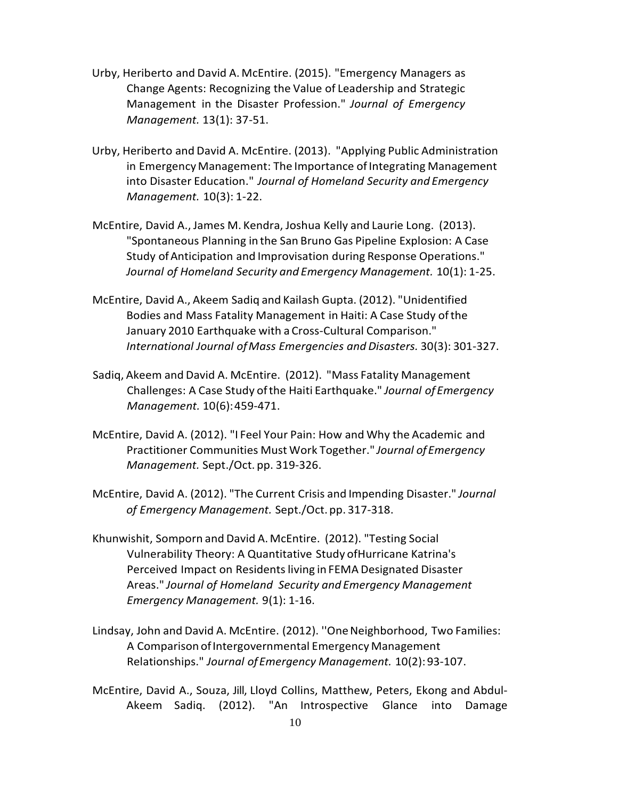- Urby, Heriberto and David A. McEntire. (2015). "Emergency Managers as Change Agents: Recognizing the Value of Leadership and Strategic Management in the Disaster Profession." *Journal of Emergency Management.* 13(1): 37-51.
- Urby, Heriberto and David A. McEntire. (2013). "Applying Public Administration in Emergency Management: The Importance of Integrating Management into Disaster Education." *Journal of Homeland Security and Emergency Management.* 10(3): 1-22.
- McEntire, David A., James M. Kendra, Joshua Kelly and Laurie Long. (2013). "Spontaneous Planning in the San Bruno Gas Pipeline Explosion: A Case Study ofAnticipation and Improvisation during Response Operations." *Journal of Homeland Security and Emergency Management.* 10(1): 1-25.
- McEntire, David A., Akeem Sadiq and Kailash Gupta. (2012). "Unidentified Bodies and Mass Fatality Management in Haiti: A Case Study ofthe January 2010 Earthquake with a Cross-Cultural Comparison." *International Journal ofMass Emergencies and Disasters.* 30(3): 301-327.
- Sadiq, Akeem and David A. McEntire. (2012). "Mass Fatality Management Challenges: A Case Study ofthe Haiti Earthquake." *Journal of Emergency Management.* 10(6):459-471.
- McEntire, David A. (2012). "I Feel Your Pain: How and Why the Academic and Practitioner Communities Must Work Together." *Journal ofEmergency Management.* Sept./Oct. pp. 319-326.
- McEntire, David A. (2012). "The Current Crisis and Impending Disaster." *Journal of Emergency Management.* Sept./Oct. pp. 317-318.
- Khunwishit, Somporn and David A.McEntire. (2012). "Testing Social Vulnerability Theory: A Quantitative Study ofHurricane Katrina's Perceived Impact on Residents living in FEMA Designated Disaster Areas." *Journal of Homeland Security and Emergency Management Emergency Management.* 9(1): 1-16.
- Lindsay, John and David A. McEntire. (2012). ''OneNeighborhood, Two Families: A Comparison of Intergovernmental Emergency Management Relationships." *Journal ofEmergency Management.* 10(2): 93-107.
- McEntire, David A., Souza, Jill, Lloyd Collins, Matthew, Peters, Ekong and Abdul-Akeem Sadiq. (2012). "An Introspective Glance into Damage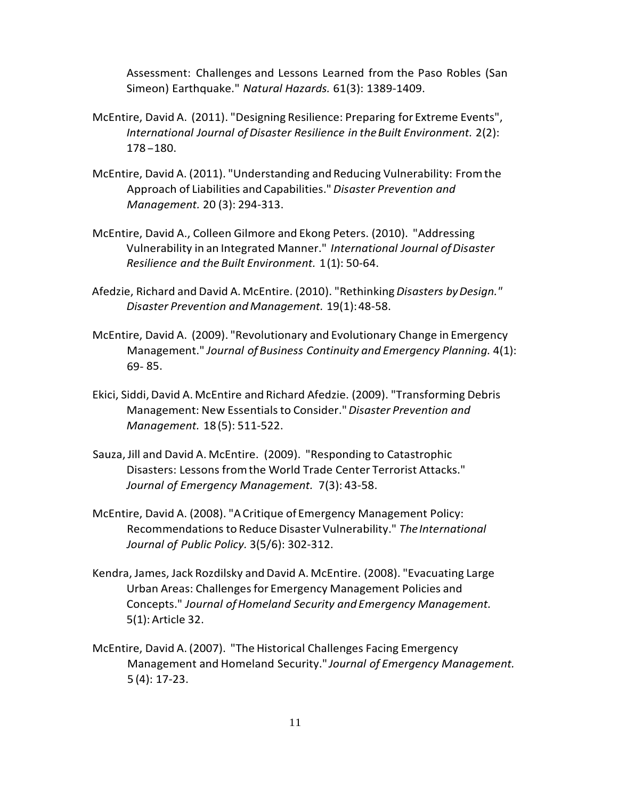Assessment: Challenges and Lessons Learned from the Paso Robles (San Simeon) Earthquake." *Natural Hazards.* 61(3): 1389-1409.

- McEntire, David A. (2011). "Designing Resilience: Preparing for Extreme Events", *International Journal ofDisaster Resilience in theBuilt Environment.* 2(2): 178-180.
- McEntire, David A. (2011). "Understanding and Reducing Vulnerability: Fromthe Approach of Liabilities and Capabilities."*Disaster Prevention and Management.* 20 (3): 294-313.
- McEntire, David A., Colleen Gilmore and Ekong Peters. (2010). "Addressing Vulnerability in an Integrated Manner." *International Journal ofDisaster Resilience and the Built Environment.* 1(1): 50-64.
- Afedzie, Richard and David A. McEntire. (2010). "Rethinking *Disasters byDesign." Disaster Prevention and Management.* 19(1):48-58.
- McEntire, David A. (2009). "Revolutionary and Evolutionary Change in Emergency Management." *Journal of Business Continuity and Emergency Planning.* 4(1): 69- 85.
- Ekici, Siddi,David A. McEntire and Richard Afedzie. (2009). "Transforming Debris Management: New Essentialsto Consider."*Disaster Prevention and Management.* 18(5): 511-522.
- Sauza, Jill and David A. McEntire. (2009). "Responding to Catastrophic Disasters: Lessons fromthe World Trade Center Terrorist Attacks." *Journal of Emergency Management.* 7(3): 43-58.
- McEntire, David A. (2008). "ACritique of Emergency Management Policy: Recommendations to Reduce Disaster Vulnerability." *TheInternational Journal of Public Policy.* 3(5/6): 302-312.
- Kendra, James, Jack Rozdilsky and David A. McEntire. (2008). "Evacuating Large Urban Areas: Challenges for Emergency Management Policies and Concepts." *Journal ofHomeland Security and Emergency Management.*  5(1): Article 32.
- McEntire, David A. (2007). "The Historical Challenges Facing Emergency Management and Homeland Security." *Journal of Emergency Management.* 5 (4): 17-23.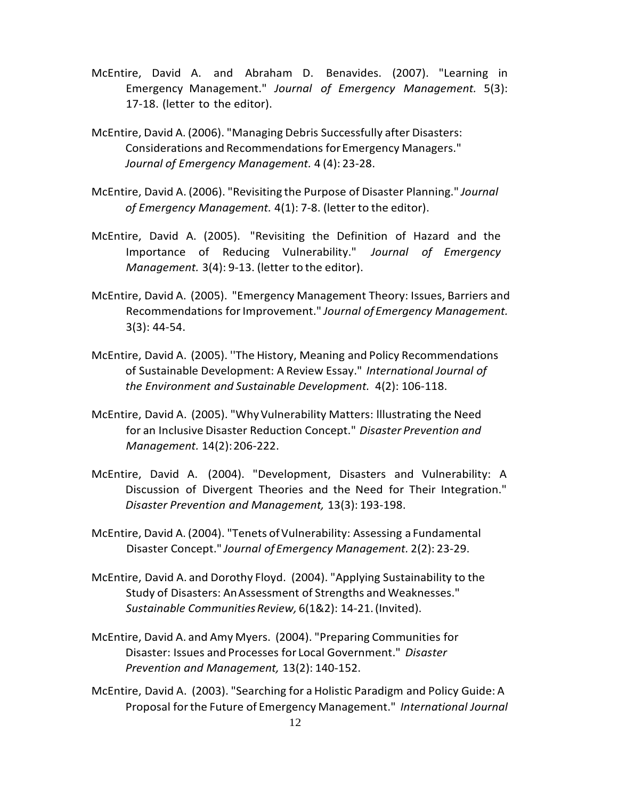- McEntire, David A. and Abraham D. Benavides. (2007). "Learning in Emergency Management." *Journal of Emergency Management.* 5(3): 17-18. (letter to the editor).
- McEntire, David A. (2006). "Managing Debris Successfully after Disasters: Considerations and Recommendations for Emergency Managers." *Journal of Emergency Management.* 4 (4): 23-28.
- McEntire, David A. (2006). "Revisiting the Purpose of Disaster Planning." *Journal of Emergency Management.* 4(1): 7-8. (letter to the editor).
- McEntire, David A. (2005). "Revisiting the Definition of Hazard and the Importance of Reducing Vulnerability." *Journal of Emergency Management.* 3(4): 9-13. (letter to the editor).
- McEntire, David A. (2005). "Emergency Management Theory: Issues, Barriers and Recommendations forImprovement." *Journal ofEmergency Management.* 3(3): 44-54.
- McEntire, David A. (2005). ''The History, Meaning and Policy Recommendations of Sustainable Development: A Review Essay." *International Journal of the Environment and Sustainable Development.* 4(2): 106-118.
- McEntire, David A. (2005). "WhyVulnerability Matters: lllustrating the Need for an Inclusive Disaster Reduction Concept." *Disaster Prevention and Management.* 14(2):206-222.
- McEntire, David A. (2004). "Development, Disasters and Vulnerability: A Discussion of Divergent Theories and the Need for Their Integration." *Disaster Prevention and Management,* 13(3): 193-198.
- McEntire, David A. (2004). "Tenets of Vulnerability: Assessing a Fundamental Disaster Concept." *Journal of Emergency Management.* 2(2): 23-29.
- McEntire, David A. and Dorothy Floyd. (2004). "Applying Sustainability to the Study of Disasters: AnAssessment of Strengths and Weaknesses." *Sustainable CommunitiesReview,* 6(1&2): 14-21.(Invited).
- McEntire, David A. and Amy Myers. (2004). "Preparing Communities for Disaster: Issues and Processes for Local Government." *Disaster Prevention and Management,* 13(2): 140-152.
- McEntire, David A. (2003). "Searching for a Holistic Paradigm and Policy Guide: A Proposal forthe Future of Emergency Management." *International Journal*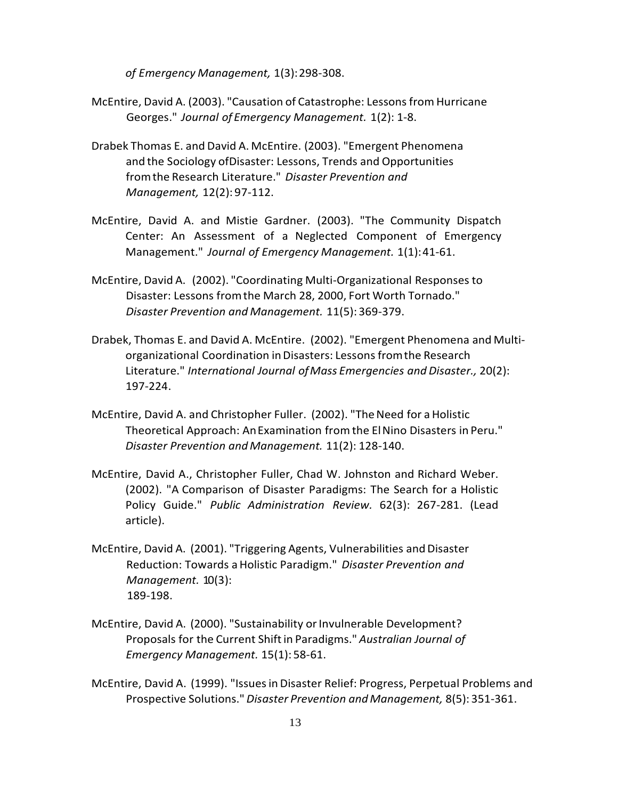*of Emergency Management,* 1(3):298-308.

- McEntire, David A. (2003). "Causation of Catastrophe: Lessons from Hurricane Georges." *Journal of Emergency Management.* 1(2): 1-8.
- Drabek Thomas E. and David A. McEntire. (2003). "Emergent Phenomena and the Sociology ofDisaster: Lessons, Trends and Opportunities fromthe Research Literature." *Disaster Prevention and Management,* 12(2): 97-112.
- McEntire, David A. and Mistie Gardner. (2003). "The Community Dispatch Center: An Assessment of a Neglected Component of Emergency Management." *Journal of Emergency Management.* 1(1):41-61.
- McEntire, David A. (2002). "Coordinating Multi-Organizational Responses to Disaster: Lessons fromthe March 28, 2000, Fort Worth Tornado." *Disaster Prevention and Management.* 11(5): 369-379.
- Drabek, Thomas E. and David A. McEntire. (2002). "Emergent Phenomena and Multiorganizational Coordination inDisasters: Lessons fromthe Research Literature." *International Journal ofMass Emergencies and Disaster.,* 20(2): 197-224.
- McEntire, David A. and Christopher Fuller. (2002). "TheNeed for a Holistic Theoretical Approach: AnExamination fromthe ElNino Disasters in Peru." *Disaster Prevention andManagement.* 11(2): 128-140.
- McEntire, David A., Christopher Fuller, Chad W. Johnston and Richard Weber. (2002). "A Comparison of Disaster Paradigms: The Search for a Holistic Policy Guide." *Public Administration Review.* 62(3): 267-281. (Lead article).
- McEntire, David A. (2001). "Triggering Agents, Vulnerabilities and Disaster Reduction: Towards aHolistic Paradigm." *Disaster Prevention and Management.* 10(3): 189-198.
- McEntire, David A. (2000). "Sustainability or Invulnerable Development? Proposals for the Current Shiftin Paradigms." *Australian Journal of Emergency Management.* 15(1): 58-61.
- McEntire, David A. (1999). "Issuesin Disaster Relief: Progress, Perpetual Problems and Prospective Solutions." *Disaster Prevention andManagement,* 8(5): 351-361.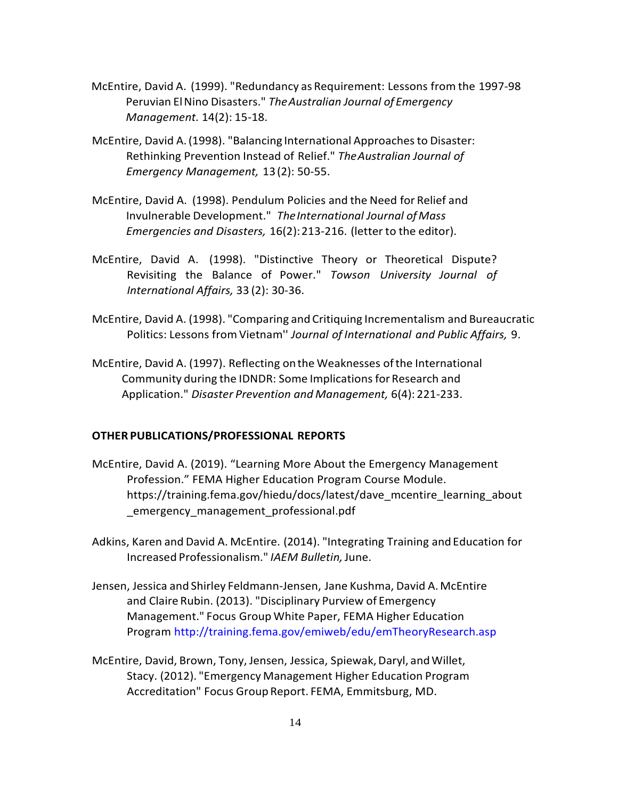- McEntire, David A. (1999). "Redundancy as Requirement: Lessons from the 1997-98 Peruvian ElNino Disasters." *TheAustralian Journal ofEmergency Management.* 14(2): 15-18.
- McEntire, David A. (1998). "Balancing International Approaches to Disaster: Rethinking Prevention Instead of Relief." *TheAustralian Journal of Emergency Management,* 13(2): 50-55.
- McEntire, David A. (1998). Pendulum Policies and the Need for Relief and Invulnerable Development." *TheInternational Journal ofMass Emergencies and Disasters,* 16(2):213-216. (letter to the editor).
- McEntire, David A. (1998). "Distinctive Theory or Theoretical Dispute? Revisiting the Balance of Power." *Towson University Journal of International Affairs,* 33 (2): 30-36.
- McEntire, David A. (1998). "Comparing and Critiquing Incrementalism and Bureaucratic Politics: Lessons fromVietnam'' *Journal of International and Public Affairs,* 9.
- McEntire, David A. (1997). Reflecting onthe Weaknesses ofthe International Community during the IDNDR: Some Implicationsfor Research and Application." *Disaster Prevention and Management,* 6(4): 221-233.

# **OTHER PUBLICATIONS/PROFESSIONAL REPORTS**

- McEntire, David A. (2019). "Learning More About the Emergency Management Profession." FEMA Higher Education Program Course Module. https://training.fema.gov/hiedu/docs/latest/dave\_mcentire\_learning\_about \_emergency\_management\_professional.pdf
- Adkins, Karen and David A. McEntire. (2014). "Integrating Training and Education for Increased Professionalism." *IAEM Bulletin,*June.
- Jensen, Jessica and Shirley Feldmann-Jensen, Jane Kushma, David A.McEntire and Claire Rubin. (2013). "Disciplinary Purview of Emergency Management." Focus Group White Paper, FEMA Higher Education Program <http://training.fema.gov/emiweb/edu/emTheoryResearch.asp>
- McEntire, David, Brown, Tony, Jensen, Jessica, Spiewak, Daryl, and Willet, Stacy. (2012). "Emergency Management Higher Education Program Accreditation" Focus Group Report. FEMA, Emmitsburg, MD.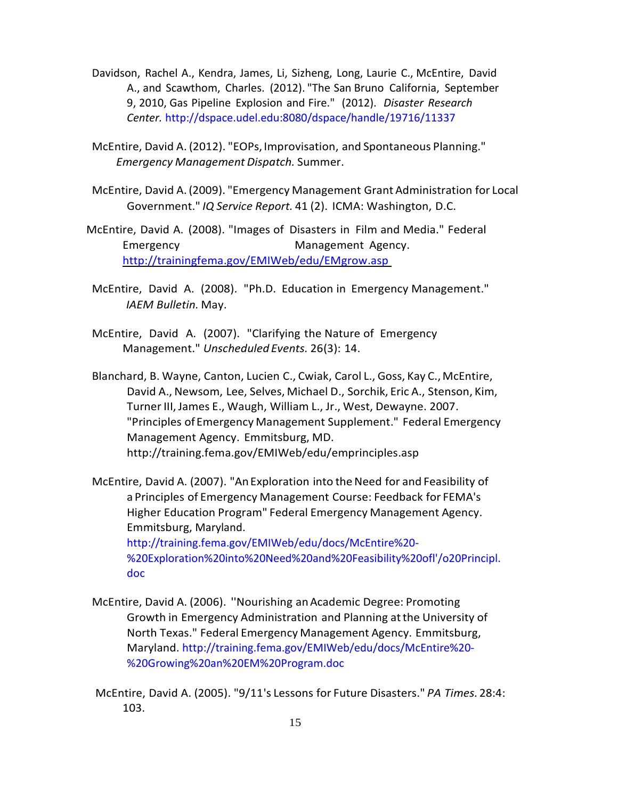- Davidson, Rachel A., Kendra, James, Li, Sizheng, Long, Laurie C., McEntire, David A., and Scawthom, Charles. (2012). "The San Bruno California, September 9, 2010, Gas Pipeline Explosion and Fire." (2012). *Disaster Research Center.* http://dspace.udel.edu:8080/dspace/handle/19716/11337
- McEntire, David A. (2012). "EOPs, Improvisation, and Spontaneous Planning." *Emergency Management Dispatch.* Summer.
- McEntire, David A. (2009). "Emergency Management Grant Administration for Local Government." *IQ Service Report.* 41 (2). ICMA: Washington, D.C.
- McEntire, David A. (2008). "Images of Disasters in Film and Media." Federal Emergency **Management Agency.** <http://trainingfema.gov/EMIWeb/edu/EMgrow.asp>
- McEntire, David A. (2008). "Ph.D. Education in Emergency Management." *IAEM Bulletin.* May.
- McEntire, David A. (2007). "Clarifying the Nature of Emergency Management." *Unscheduled Events.* 26(3): 14.
- Blanchard, B. Wayne, Canton, Lucien C., Cwiak, Carol L., Goss, Kay C.,McEntire, David A., Newsom, Lee, Selves, Michael D., Sorchik, Eric A., Stenson, Kim, Turner III, James E., Waugh, William L., Jr., West, Dewayne. 2007. "Principles ofEmergency Management Supplement." Federal Emergency Management Agency. Emmitsburg, MD. <http://training.fema.gov/EMIWeb/edu/emprinciples.asp>
- McEntire, David A. (2007). "An Exploration into the Need for and Feasibility of a Principles of Emergency Management Course: Feedback for FEMA's Higher Education Program" Federal Emergency Management Agency. Emmitsburg, Maryland. <http://training.fema.gov/EMIWeb/edu/docs/McEntire%20-> %20Exploration%20into%20Need%20and%20Feasibility%20ofl'/o20Principl. doc
- McEntire, David A. (2006). ''Nourishing anAcademic Degree: Promoting Growth in Emergency Administration and Planning atthe University of North Texas." Federal Emergency Management Agency. Emmitsburg, Maryland. [http://training.fema.g](http://training.fema/)ov/EMIWeb/edu/docs/McEntire%20- %20Growing%20an%20EM%20Program.doc
- McEntire, David A. (2005). "9/11's Lessons for Future Disasters." *PA Times.*28:4: 103.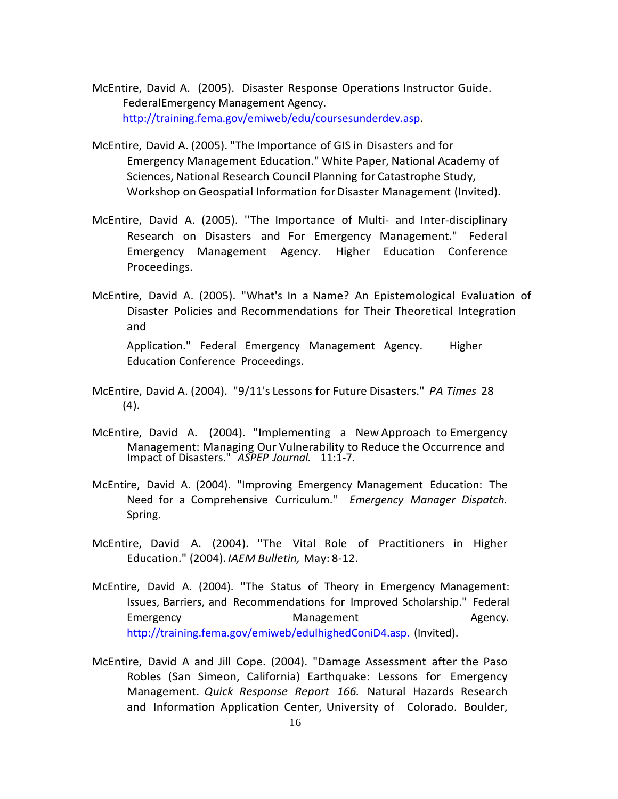- McEntire, David A. (2005). Disaster Response Operations Instructor Guide. FederalEmergency Management Agency. [http://training.fema.gov/emiweb/edu/coursesunderdev.asp.](http://training.fema.gov/emiweb/edu/coursesunderdev.asp)
- McEntire, David A. (2005). "The Importance of GIS in Disasters and for Emergency Management Education." White Paper, National Academy of Sciences, National Research Council Planning for Catastrophe Study, Workshop on Geospatial Information for Disaster Management (Invited).
- McEntire, David A. (2005). ''The Importance of Multi- and Inter-disciplinary Research on Disasters and For Emergency Management." Federal Emergency Management Agency. Higher Education Conference Proceedings.
- McEntire, David A. (2005). "What's In a Name? An Epistemological Evaluation of Disaster Policies and Recommendations for Their Theoretical Integration and

Application." Federal Emergency Management Agency. Higher Education Conference Proceedings.

- McEntire, David A. (2004). "9/11's Lessons for Future Disasters." *PA Times* 28 (4).
- McEntire, David A. (2004). "Implementing a New Approach to Emergency Management: Managing Our Vulnerability to Reduce the Occurrence and Impact of Disasters." *ASPEP Journal.* 11:1-7.
- McEntire, David A. (2004). "Improving Emergency Management Education: The Need for a Comprehensive Curriculum." *Emergency Manager Dispatch.*  Spring.
- McEntire, David A. (2004). ''The Vital Role of Practitioners in Higher Education." (2004). *IAEM Bulletin,* May: 8-12.
- McEntire, David A. (2004). ''The Status of Theory in Emergency Management: Issues, Barriers, and Recommendations for Improved Scholarship." Federal Emergency **Emergency Communist Communist Communist Communist Communist Communist Communist Communist Communist Communist Communist Communist Communist Communist Communist Communist Communist Communist Communist Communist C** http://training.fema.gov/emiweb/edulhighedConiD4.asp. (Invited).
- McEntire, David A and Jill Cope. (2004). "Damage Assessment after the Paso Robles (San Simeon, California) Earthquake: Lessons for Emergency Management. *Quick Response Report 166.* Natural Hazards Research and Information Application Center, University of Colorado. Boulder,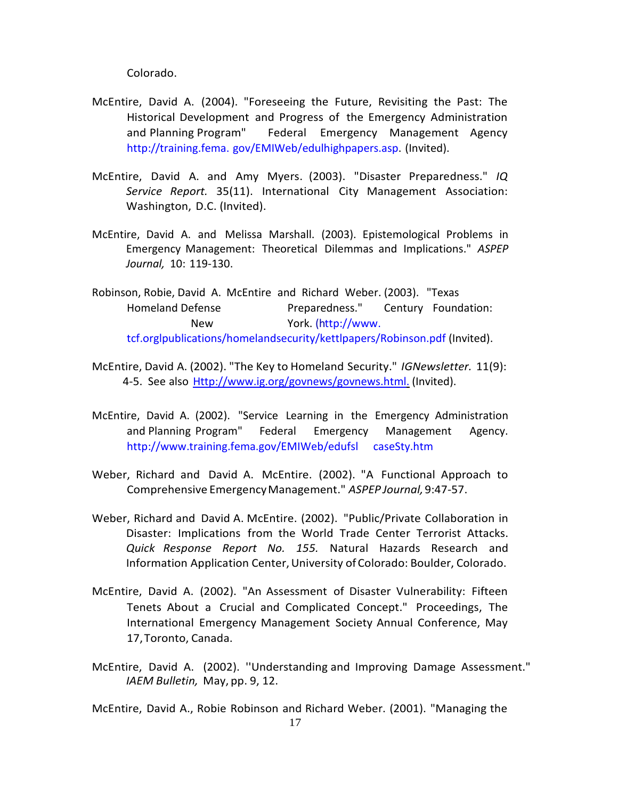Colorado.

- McEntire, David A. (2004). "Foreseeing the Future, Revisiting the Past: The Historical Development and Progress of the Emergency Administration and Planning Program" Federal Emergency Management Agency [http://training.fema.](http://training.fema/) gov/EMIWeb/edulhighpapers.asp. (Invited).
- McEntire, David A. and Amy Myers. (2003). "Disaster Preparedness." *IQ Service Report.* 35(11). International City Management Association: Washington, D.C. (Invited).
- McEntire, David A. and Melissa Marshall. (2003). Epistemological Problems in Emergency Management: Theoretical Dilemmas and Implications." *ASPEP Journal,* 10: 119-130.
- Robinson, Robie, David A. McEntire and Richard Weber. (2003). "Texas Homeland Defense **Preparedness.**" Century Foundation: New York. [\(http://www.](http://www/) tcf.orglpublications/homelandsecurity/kettlpapers/Robinson.pdf (Invited).
- McEntire, David A. (2002). "The Key to Homeland Security." *IGNewsletter.* 11(9): 4-5. See also [Http://www.ig.org/govnews/govnews.html.](http://www.ig.org/govnews/govnews.html.) (Invited).
- McEntire, David A. (2002). "Service Learning in the Emergency Administration and Planning Program" Federal Emergency Management Agency. [http://www.training.fema.gov/EMIWeb/edufsl c](http://www.training.fema.gov/EMIWeb/edufsl)aseSty.htm
- Weber, Richard and David A. McEntire. (2002). "A Functional Approach to Comprehensive EmergencyManagement." *ASPEP Journal,*9:47-57.
- Weber, Richard and David A. McEntire. (2002). "Public/Private Collaboration in Disaster: Implications from the World Trade Center Terrorist Attacks. *Quick Response Report No. 155.* Natural Hazards Research and Information Application Center, University of Colorado: Boulder, Colorado.
- McEntire, David A. (2002). "An Assessment of Disaster Vulnerability: Fifteen Tenets About a Crucial and Complicated Concept." Proceedings, The International Emergency Management Society Annual Conference, May 17,Toronto, Canada.
- McEntire, David A. (2002). ''Understanding and Improving Damage Assessment." *IAEM Bulletin,* May, pp. 9, 12.

McEntire, David A., Robie Robinson and Richard Weber. (2001). "Managing the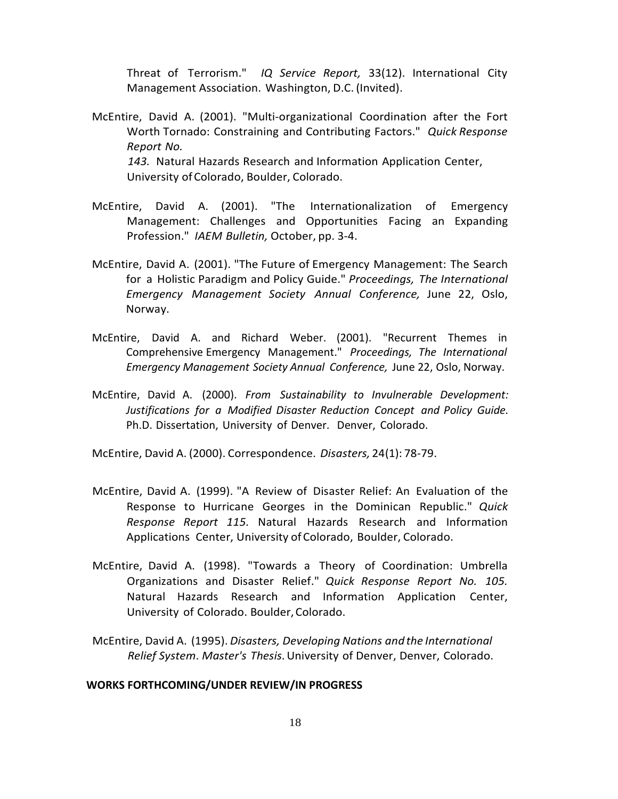Threat of Terrorism." *IQ Service Report,* 33(12). International City Management Association. Washington, D.C. (Invited).

- McEntire, David A. (2001). "Multi-organizational Coordination after the Fort Worth Tornado: Constraining and Contributing Factors." *Quick Response Report No. 143.* Natural Hazards Research and Information Application Center, University ofColorado, Boulder, Colorado.
- McEntire, David A. (2001). "The Internationalization of Emergency Management: Challenges and Opportunities Facing an Expanding Profession." *IAEM Bulletin,* October, pp. 3-4.
- McEntire, David A. (2001). "The Future of Emergency Management: The Search for a Holistic Paradigm and Policy Guide." *Proceedings, The International Emergency Management Society Annual Conference,* June 22, Oslo, Norway.
- McEntire, David A. and Richard Weber. (2001). "Recurrent Themes in Comprehensive Emergency Management." *Proceedings, The International Emergency Management Society Annual Conference,* June 22, Oslo, Norway.
- McEntire, David A. (2000). *From Sustainability to Invulnerable Development: Justifications for a Modified Disaster Reduction Concept and Policy Guide.* Ph.D. Dissertation, University of Denver. Denver, Colorado.

McEntire, David A. (2000). Correspondence. *Disasters,* 24(1): 78-79.

- McEntire, David A. (1999). "A Review of Disaster Relief: An Evaluation of the Response to Hurricane Georges in the Dominican Republic." *Quick Response Report 115.* Natural Hazards Research and Information Applications Center, University of Colorado, Boulder, Colorado.
- McEntire, David A. (1998). "Towards a Theory of Coordination: Umbrella Organizations and Disaster Relief." *Quick Response Report No. 105.* Natural Hazards Research and Information Application Center, University of Colorado. Boulder,Colorado.
- McEntire, David A. (1995). *Disasters, Developing Nations and the International Relief System*. *Master's Thesis.*University of Denver, Denver, Colorado.

### **WORKS FORTHCOMING/UNDER REVIEW/IN PROGRESS**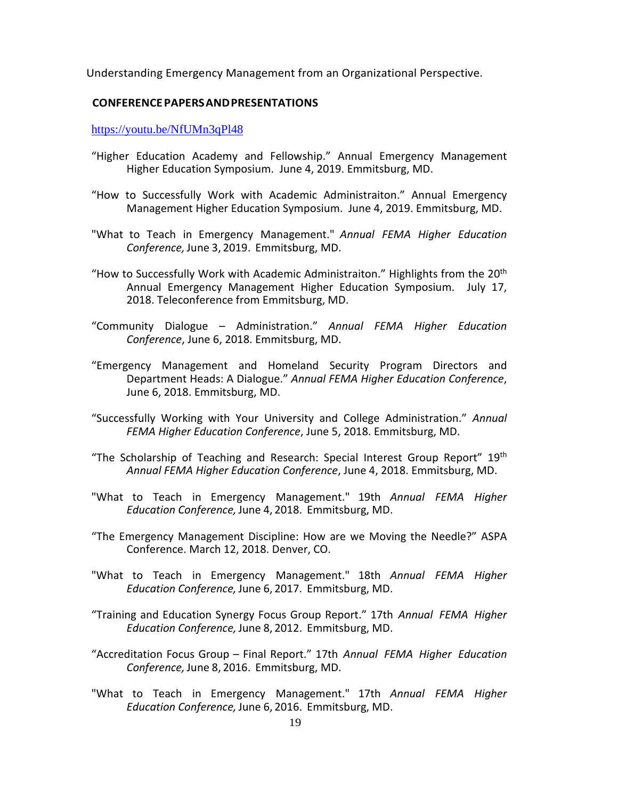Understanding Emergency Management from an Organizational Perspective.

### **CONFERENCEPAPERSANDPRESENTATIONS**

<https://youtu.be/NfUMn3qPl48>

- "Higher Education Academy and Fellowship." Annual Emergency Management Higher Education Symposium. June 4, 2019. Emmitsburg, MD.
- "How to Successfully Work with Academic Administraiton." Annual Emergency Management Higher Education Symposium. June 4, 2019. Emmitsburg, MD.
- "What to Teach in Emergency Management." *Annual FEMA Higher Education Conference,* June 3, 2019. Emmitsburg, MD.
- "How to Successfully Work with Academic Administraiton." Highlights from the  $20<sup>th</sup>$ Annual Emergency Management Higher Education Symposium. July 17, 2018. Teleconference from Emmitsburg, MD.
- "Community Dialogue Administration." *Annual FEMA Higher Education Conference*, June 6, 2018. Emmitsburg, MD.
- "Emergency Management and Homeland Security Program Directors and Department Heads: A Dialogue." *Annual FEMA Higher Education Conference*, June 6, 2018. Emmitsburg, MD.
- "Successfully Working with Your University and College Administration." *Annual FEMA Higher Education Conference*, June 5, 2018. Emmitsburg, MD.
- "The Scholarship of Teaching and Research: Special Interest Group Report"  $19<sup>th</sup>$ *Annual FEMA Higher Education Conference*, June 4, 2018. Emmitsburg, MD.
- "What to Teach in Emergency Management." 19th *Annual FEMA Higher Education Conference,* June 4, 2018. Emmitsburg, MD.
- "The Emergency Management Discipline: How are we Moving the Needle?" ASPA Conference. March 12, 2018. Denver, CO.
- "What to Teach in Emergency Management." 18th *Annual FEMA Higher Education Conference,* June 6, 2017. Emmitsburg, MD.
- "Training and Education Synergy Focus Group Report." 17th *Annual FEMA Higher Education Conference,* June 8, 2012. Emmitsburg, MD.
- "Accreditation Focus Group Final Report." 17th *Annual FEMA Higher Education Conference,* June 8, 2016. Emmitsburg, MD.
- "What to Teach in Emergency Management." 17th *Annual FEMA Higher Education Conference,* June 6, 2016. Emmitsburg, MD.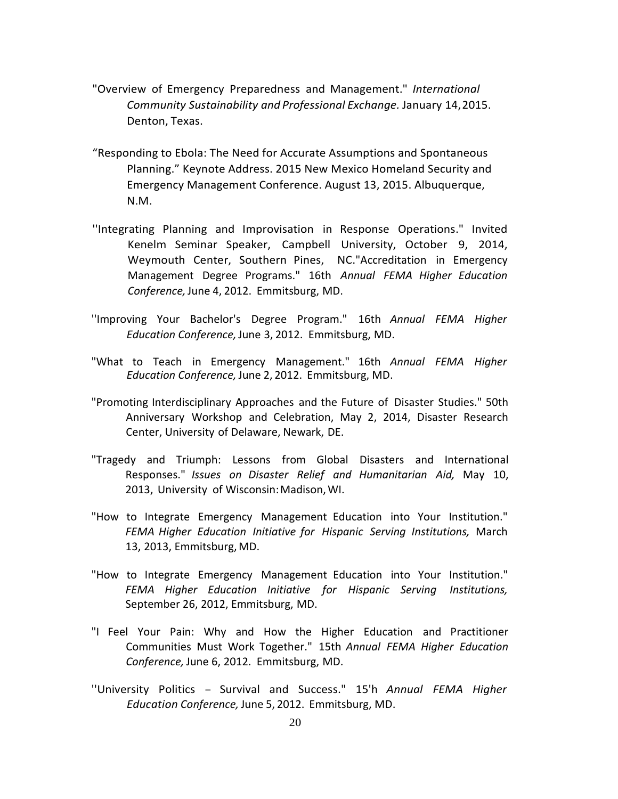- "Overview of Emergency Preparedness and Management." *International Community Sustainability and Professional Exchange.* January 14,2015. Denton, Texas.
- "Responding to Ebola: The Need for Accurate Assumptions and Spontaneous Planning." Keynote Address. 2015 New Mexico Homeland Security and Emergency Management Conference. August 13, 2015. Albuquerque, N.M.
- ''Integrating Planning and Improvisation in Response Operations." Invited Kenelm Seminar Speaker, Campbell University, October 9, 2014, Weymouth Center, Southern Pines, NC."Accreditation in Emergency Management Degree Programs." 16th *Annual FEMA Higher Education Conference,*June 4, 2012. Emmitsburg, MD.
- ''Improving Your Bachelor's Degree Program." 16th *Annual FEMA Higher Education Conference,*June 3, 2012. Emmitsburg, MD.
- "What to Teach in Emergency Management." 16th *Annual FEMA Higher Education Conference,* June 2, 2012. Emmitsburg, MD.
- "Promoting Interdisciplinary Approaches and the Future of Disaster Studies." 50th Anniversary Workshop and Celebration, May 2, 2014, Disaster Research Center, University of Delaware, Newark, DE.
- "Tragedy and Triumph: Lessons from Global Disasters and International Responses." *Issues on Disaster Relief and Humanitarian Aid,* May 10, 2013, University of Wisconsin: Madison, WI.
- "How to Integrate Emergency Management Education into Your Institution." *FEMA Higher Education Initiative for Hispanic Serving Institutions,* March 13, 2013, Emmitsburg, MD.
- "How to Integrate Emergency Management Education into Your Institution." *FEMA Higher Education Initiative for Hispanic Serving Institutions,* September 26, 2012, Emmitsburg, MD.
- "I Feel Your Pain: Why and How the Higher Education and Practitioner Communities Must Work Together." 15th *Annual FEMA Higher Education Conference,* June 6, 2012. Emmitsburg, MD.
- ''University Politics Survival and Success." 15'h *Annual FEMA Higher Education Conference,* June 5, 2012. Emmitsburg, MD.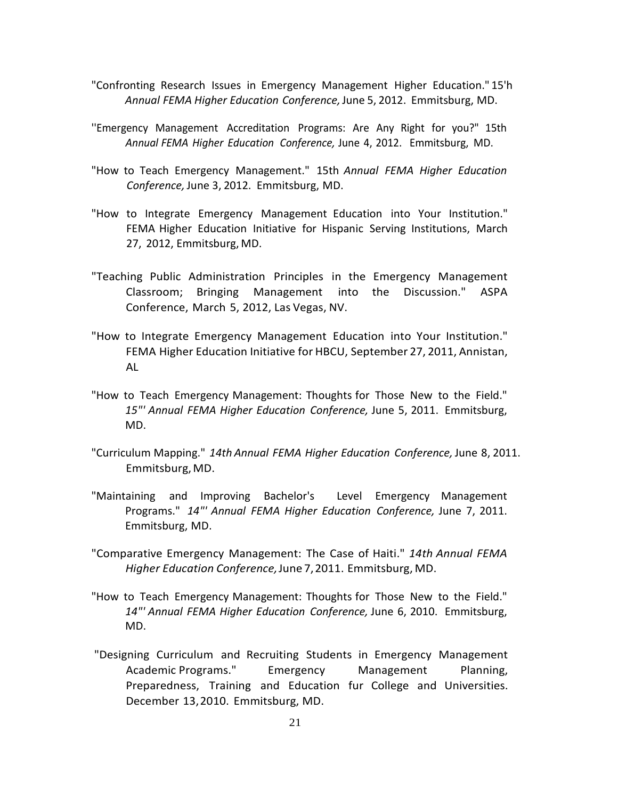- "Confronting Research Issues in Emergency Management Higher Education." 15'h *Annual FEMA Higher Education Conference,*June 5, 2012. Emmitsburg, MD.
- ''Emergency Management Accreditation Programs: Are Any Right for you?" 15th *Annual FEMA Higher Education Conference,* June 4, 2012. Emmitsburg, MD.
- "How to Teach Emergency Management." 15th *Annual FEMA Higher Education Conference,* June 3, 2012. Emmitsburg, MD.
- "How to Integrate Emergency Management Education into Your Institution." FEMA Higher Education Initiative for Hispanic Serving Institutions, March 27, 2012, Emmitsburg, MD.
- "Teaching Public Administration Principles in the Emergency Management Classroom; Bringing Management into the Discussion." ASPA Conference, March 5, 2012, Las Vegas, NV.
- "How to Integrate Emergency Management Education into Your Institution." FEMA Higher Education Initiative for HBCU, September 27, 2011, Annistan, AL
- "How to Teach Emergency Management: Thoughts for Those New to the Field." *15"' Annual FEMA Higher Education Conference,* June 5, 2011. Emmitsburg, MD.
- "Curriculum Mapping." *14th Annual FEMA Higher Education Conference,* June 8, 2011. Emmitsburg,MD.
- "Maintaining and Improving Bachelor's Level Emergency Management Programs." *14"' Annual FEMA Higher Education Conference,* June 7, 2011. Emmitsburg, MD.
- "Comparative Emergency Management: The Case of Haiti." *14th Annual FEMA Higher Education Conference,*June 7,2011. Emmitsburg, MD.
- "How to Teach Emergency Management: Thoughts for Those New to the Field." *14"' Annual FEMA Higher Education Conference,* June 6, 2010. Emmitsburg, MD.
- "Designing Curriculum and Recruiting Students in Emergency Management Academic Programs." Emergency Management Planning, Preparedness, Training and Education fur College and Universities. December 13,2010. Emmitsburg, MD.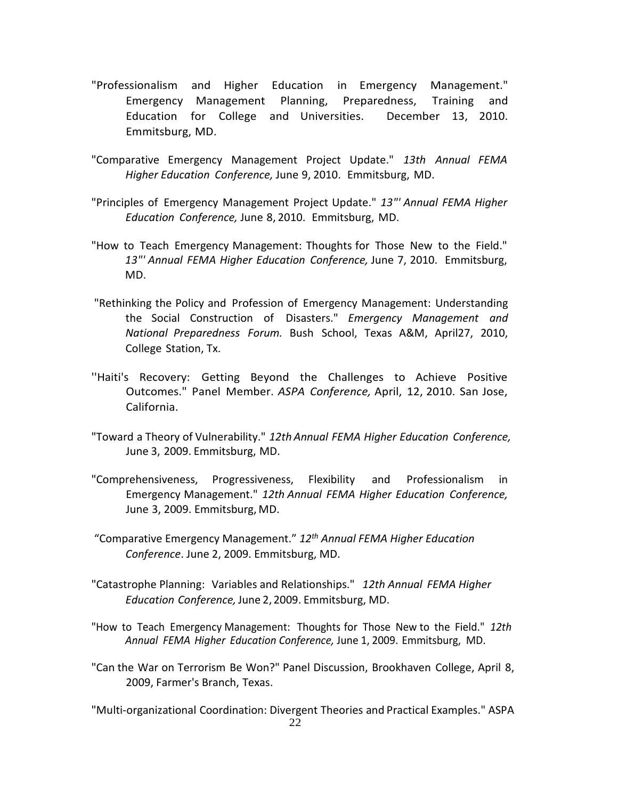- "Professionalism and Higher Education in Emergency Management." Emergency Management Planning, Preparedness, Training and Education for College and Universities. December 13, 2010. Emmitsburg, MD.
- "Comparative Emergency Management Project Update." *13th Annual FEMA Higher Education Conference,* June 9, 2010. Emmitsburg, MD.
- "Principles of Emergency Management Project Update." *13"' Annual FEMA Higher Education Conference,* June 8, 2010. Emmitsburg, MD.
- "How to Teach Emergency Management: Thoughts for Those New to the Field." *13"' Annual FEMA Higher Education Conference,* June 7, 2010. Emmitsburg, MD.
- "Rethinking the Policy and Profession of Emergency Management: Understanding the Social Construction of Disasters." *Emergency Management and National Preparedness Forum.* Bush School, Texas A&M, April27, 2010, College Station, Tx.
- ''Haiti's Recovery: Getting Beyond the Challenges to Achieve Positive Outcomes." Panel Member. *ASPA Conference,* April, 12, 2010. San Jose, California.
- "Toward a Theory of Vulnerability." *12th Annual FEMA Higher Education Conference,* June 3, 2009. Emmitsburg, MD.
- "Comprehensiveness, Progressiveness, Flexibility and Professionalism in Emergency Management." *12th Annual FEMA Higher Education Conference,* June 3, 2009. Emmitsburg, MD.
- "Comparative Emergency Management." *12th Annual FEMA Higher Education Conference*. June 2, 2009. Emmitsburg, MD.
- "Catastrophe Planning: Variables and Relationships." *12th Annual FEMA Higher Education Conference,* June 2, 2009. Emmitsburg, MD.
- "How to Teach Emergency Management: Thoughts for Those New to the Field." *12th Annual FEMA Higher Education Conference,* June 1, 2009. Emmitsburg, MD.
- "Can the War on Terrorism Be Won?" Panel Discussion, Brookhaven College, April 8, 2009, Farmer's Branch, Texas.

22 "Multi-organizational Coordination: Divergent Theories and Practical Examples." ASPA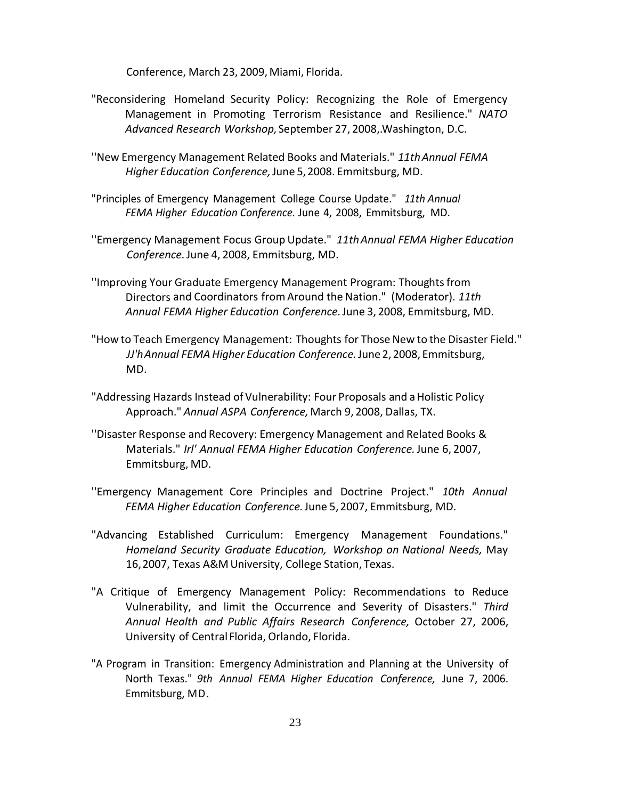Conference, March 23, 2009, Miami, Florida.

- "Reconsidering Homeland Security Policy: Recognizing the Role of Emergency Management in Promoting Terrorism Resistance and Resilience." *NATO Advanced Research Workshop,*September 27, 2008,.Washington, D.C.
- ''New Emergency Management Related Books and Materials." *11thAnnual FEMA Higher Education Conference,*June 5,2008. Emmitsburg, MD.
- "Principles of Emergency Management College Course Update." *11th Annual FEMA Higher Education Conference.* June 4, 2008, Emmitsburg, MD.
- ''Emergency Management Focus Group Update." *11thAnnual FEMA Higher Education Conference.*June 4, 2008, Emmitsburg, MD.
- ''Improving Your Graduate Emergency Management Program: Thoughtsfrom Directors and Coordinators fromAround the Nation." (Moderator). *11th Annual FEMA Higher Education Conference.*June 3, 2008, Emmitsburg, MD.
- "How to Teach Emergency Management: Thoughts for Those New to the Disaster Field." *JJ'hAnnual FEMAHigher Education Conference.*June 2,2008, Emmitsburg, MD.
- "Addressing Hazards Instead of Vulnerability: Four Proposals and aHolistic Policy Approach." *Annual ASPA Conference,*March 9, 2008, Dallas, TX.
- ''Disaster Response and Recovery: Emergency Management and Related Books & Materials." *Irl' Annual FEMA Higher Education Conference.*June 6, 2007, Emmitsburg, MD.
- ''Emergency Management Core Principles and Doctrine Project." *10th Annual FEMA Higher Education Conference.*June 5, 2007, Emmitsburg, MD.
- "Advancing Established Curriculum: Emergency Management Foundations." *Homeland Security Graduate Education, Workshop on National Needs,* May 16,2007, Texas A&M University, College Station, Texas.
- "A Critique of Emergency Management Policy: Recommendations to Reduce Vulnerability, and limit the Occurrence and Severity of Disasters." *Third Annual Health and Public Affairs Research Conference,* October 27, 2006, University of Central Florida, Orlando, Florida.
- "A Program in Transition: Emergency Administration and Planning at the University of North Texas." *9th Annual FEMA Higher Education Conference,* June 7, 2006. Emmitsburg, MD.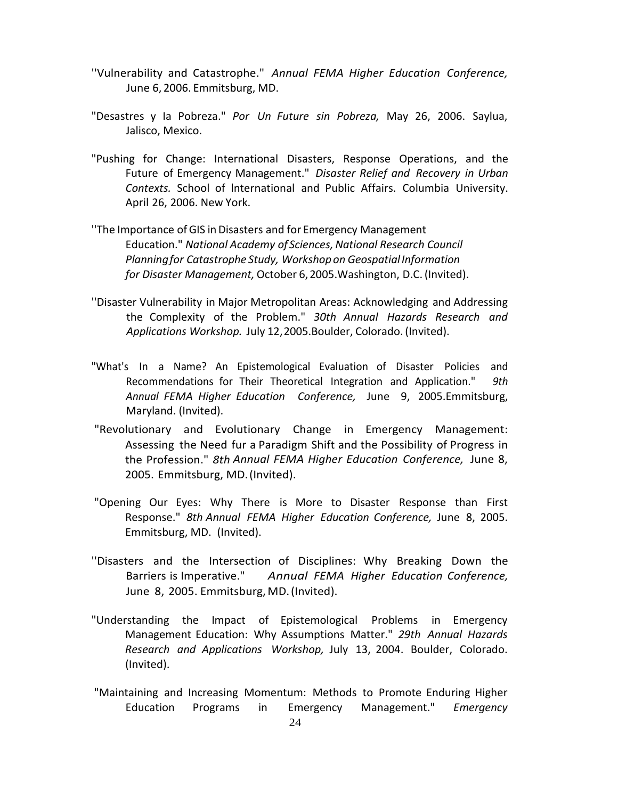- ''Vulnerability and Catastrophe." *Annual FEMA Higher Education Conference,* June 6, 2006. Emmitsburg, MD.
- "Desastres y Ia Pobreza." *Por Un Future sin Pobreza,* May 26, 2006. Saylua, Jalisco, Mexico.
- "Pushing for Change: International Disasters, Response Operations, and the Future of Emergency Management." *Disaster Relief and Recovery in Urban Contexts.* School of lnternational and Public Affairs. Columbia University. April 26, 2006. New York.
- ''The Importance ofGIS inDisasters and for Emergency Management Education." *National Academy of Sciences,National Research Council Planningfor Catastrophe Study, Workshopon GeospatialInformation for Disaster Management,* October 6,2005.Washington, D.C. (Invited).
- ''Disaster Vulnerability in Major Metropolitan Areas: Acknowledging and Addressing the Complexity of the Problem." *30th Annual Hazards Research and Applications Workshop.* July 12,2005.Boulder, Colorado. (Invited).
- "What's In a Name? An Epistemological Evaluation of Disaster Policies and Recommendations for Their Theoretical Integration and Application." *9th Annual FEMA Higher Education Conference,* June 9, 2005.Emmitsburg, Maryland. (Invited).
- "Revolutionary and Evolutionary Change in Emergency Management: Assessing the Need fur a Paradigm Shift and the Possibility of Progress in the Profession." *8th Annual FEMA Higher Education Conference,* June 8, 2005. Emmitsburg, MD.(Invited).
- "Opening Our Eyes: Why There is More to Disaster Response than First Response." *8th Annual FEMA Higher Education Conference,* June 8, 2005. Emmitsburg, MD. (Invited).
- ''Disasters and the Intersection of Disciplines: Why Breaking Down the Barriers is Imperative." *Annual FEMA Higher Education Conference,* June 8, 2005. Emmitsburg, MD. (Invited).
- "Understanding the Impact of Epistemological Problems in Emergency Management Education: Why Assumptions Matter." *29th Annual Hazards Research and Applications Workshop,* July 13, 2004. Boulder, Colorado. (Invited).
- "Maintaining and Increasing Momentum: Methods to Promote Enduring Higher Education Programs in Emergency Management." *Emergency*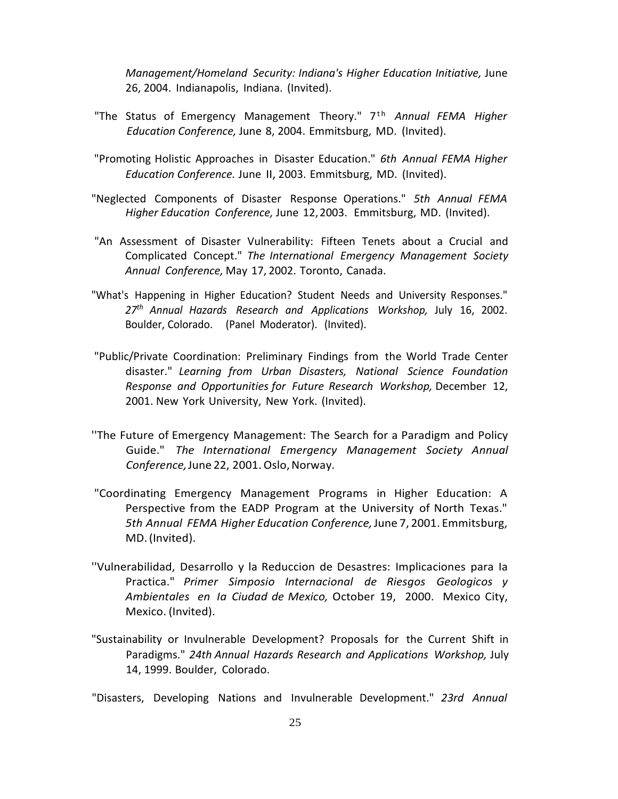*Management/Homeland Security: Indiana's Higher Education Initiative,* June 26, 2004. Indianapolis, Indiana. (Invited).

- "The Status of Emergency Management Theory." 7<sup>th</sup> Annual FEMA Higher *Education Conference,* June 8, 2004. Emmitsburg, MD. (Invited).
- "Promoting Holistic Approaches in Disaster Education." *6th Annual FEMA Higher Education Conference.* June II, 2003. Emmitsburg, MD. (Invited).
- "Neglected Components of Disaster Response Operations." *5th Annual FEMA Higher Education Conference,* June 12,2003. Emmitsburg, MD. (Invited).
- "An Assessment of Disaster Vulnerability: Fifteen Tenets about a Crucial and Complicated Concept." *The International Emergency Management Society Annual Conference,* May 17, 2002. Toronto, Canada.
- "What's Happening in Higher Education? Student Needs and University Responses." *27th Annual Hazards Research and Applications Workshop,* July 16, 2002. Boulder, Colorado. (Panel Moderator). (Invited).
- "Public/Private Coordination: Preliminary Findings from the World Trade Center disaster." *Learning from Urban Disasters, National Science Foundation Response and Opportunities for Future Research Workshop,* December 12, 2001. New York University, New York. (Invited).
- ''The Future of Emergency Management: The Search for a Paradigm and Policy Guide." *The International Emergency Management Society Annual Conference,*June 22, 2001. Oslo,Norway.
- "Coordinating Emergency Management Programs in Higher Education: A Perspective from the EADP Program at the University of North Texas." *5th Annual FEMA Higher Education Conference,*June 7, 2001. Emmitsburg, MD.(Invited).
- ''Vulnerabilidad, Desarrollo y la Reduccion de Desastres: Implicaciones para Ia Practica." *Primer Simposio Internacional de Riesgos Geologicos y Ambientales en Ia Ciudad de Mexico,* October 19, 2000. Mexico City, Mexico. (Invited).
- "Sustainability or Invulnerable Development? Proposals for the Current Shift in Paradigms." *24th Annual Hazards Research and Applications Workshop,* July 14, 1999. Boulder, Colorado.
- "Disasters, Developing Nations and Invulnerable Development." *23rd Annual*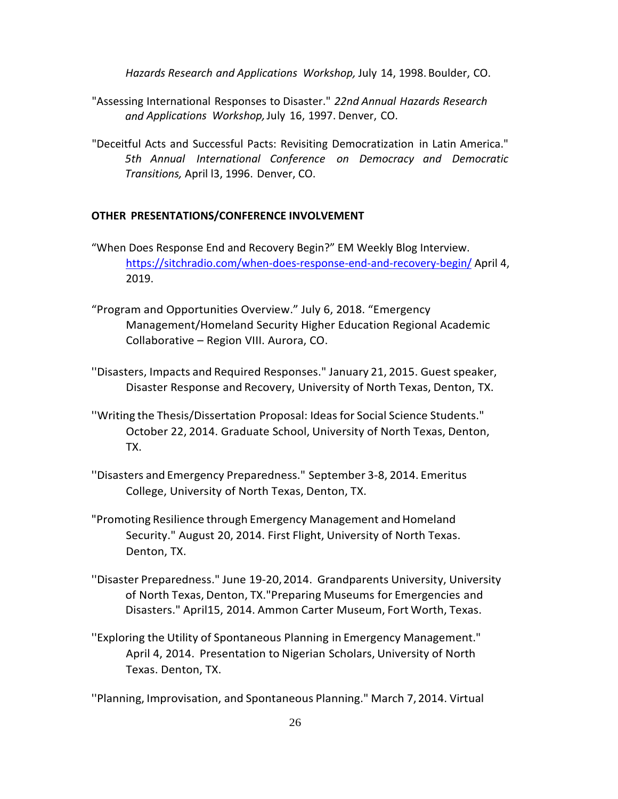*Hazards Research and Applications Workshop,* July 14, 1998. Boulder, CO.

- "Assessing International Responses to Disaster." *22nd Annual Hazards Research and Applications Workshop,*July 16, 1997. Denver, CO.
- "Deceitful Acts and Successful Pacts: Revisiting Democratization in Latin America." *5th Annual International Conference on Democracy and Democratic Transitions,* April l3, 1996. Denver, CO.

### **OTHER PRESENTATIONS/CONFERENCE INVOLVEMENT**

- "When Does Response End and Recovery Begin?" EM Weekly Blog Interview. [https://sitchradio.com/when-does-response-end-and-recovery-begin/](https://circulate.it/r/KY30XZaLq6w-ZK7zjgImhaElQvTcDniWk9Tj6NCYaSaiRd30AQm5Uokq0xMralHG/sitchradio.com/when-does-response-end-and-recovery-begin/) April 4, 2019.
- "Program and Opportunities Overview." July 6, 2018. "Emergency Management/Homeland Security Higher Education Regional Academic Collaborative – Region VIII. Aurora, CO.
- ''Disasters, Impacts and Required Responses." January 21, 2015. Guest speaker, Disaster Response and Recovery, University of North Texas, Denton, TX.
- ''Writing the Thesis/Dissertation Proposal: Ideas for Social Science Students." October 22, 2014. Graduate School, University of North Texas, Denton, TX.
- ''Disasters and Emergency Preparedness." September 3-8, 2014. Emeritus College, University of North Texas, Denton, TX.
- "Promoting Resilience through Emergency Management and Homeland Security." August 20, 2014. First Flight, University of North Texas. Denton, TX.
- ''Disaster Preparedness." June 19-20,2014. Grandparents University, University of North Texas, Denton, TX."Preparing Museums for Emergencies and Disasters." April15, 2014. Ammon Carter Museum, Fort Worth, Texas.
- ''Exploring the Utility of Spontaneous Planning in Emergency Management." April 4, 2014. Presentation to Nigerian Scholars, University of North Texas. Denton, TX.

''Planning, Improvisation, and Spontaneous Planning." March 7, 2014. Virtual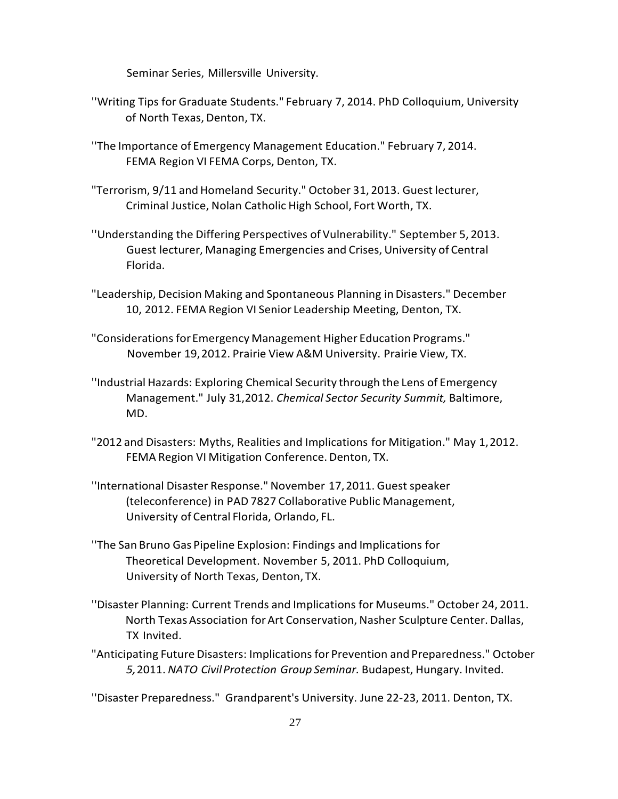Seminar Series, Millersville University.

- ''Writing Tips for Graduate Students." February 7, 2014. PhD Colloquium, University of North Texas, Denton, TX.
- ''The Importance of Emergency Management Education." February 7, 2014. FEMA Region VI FEMA Corps, Denton, TX.
- "Terrorism, 9/11 and Homeland Security." October 31, 2013. Guest lecturer, Criminal Justice, Nolan Catholic High School, Fort Worth, TX.
- ''Understanding the Differing Perspectives of Vulnerability." September 5, 2013. Guest lecturer, Managing Emergencies and Crises, University of Central Florida.
- "Leadership, Decision Making and Spontaneous Planning in Disasters." December 10, 2012. FEMA Region VI Senior Leadership Meeting, Denton, TX.
- "Considerations for Emergency Management Higher Education Programs." November 19,2012. Prairie View A&M University. Prairie View, TX.
- ''Industrial Hazards: Exploring Chemical Security through the Lens of Emergency Management." July 31,2012. *Chemical Sector Security Summit,* Baltimore, MD.
- "2012 and Disasters: Myths, Realities and Implications for Mitigation." May 1,2012. FEMA Region VI Mitigation Conference. Denton, TX.
- "International Disaster Response." November 17, 2011. Guest speaker (teleconference) in PAD 7827 Collaborative Public Management, University of Central Florida, Orlando, FL.
- ''The San Bruno Gas Pipeline Explosion: Findings and Implications for Theoretical Development. November 5, 2011. PhD Colloquium, University of North Texas, Denton, TX.
- ''Disaster Planning: Current Trends and Implications for Museums." October 24, 2011. North Texas Association forArt Conservation, Nasher Sculpture Center. Dallas, TX Invited.
- "Anticipating Future Disasters: Implications for Prevention and Preparedness." October *5,*2011. *NATO CivilProtection Group Seminar.* Budapest, Hungary. Invited.

''Disaster Preparedness." Grandparent's University. June 22-23, 2011. Denton, TX.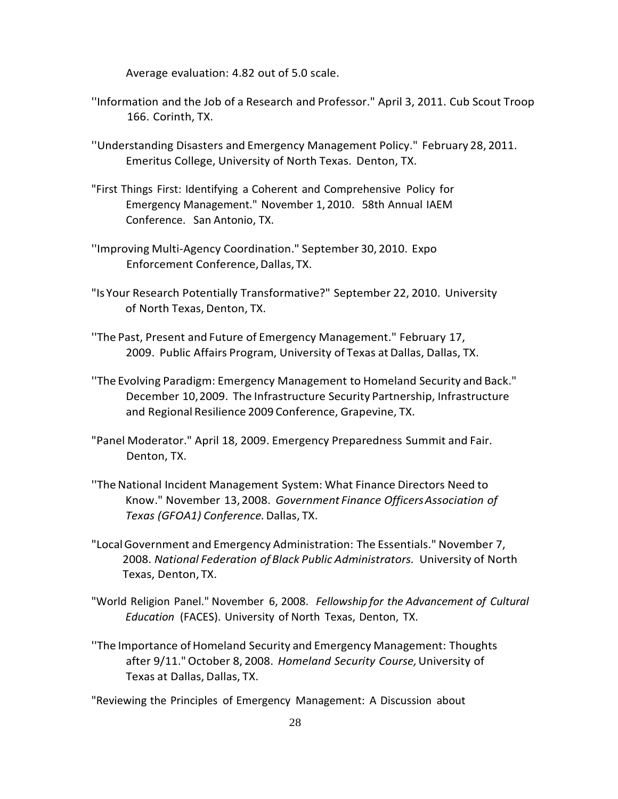Average evaluation: 4.82 out of 5.0 scale.

- ''Information and the Job of a Research and Professor." April 3, 2011. Cub Scout Troop 166. Corinth, TX.
- ''Understanding Disasters and Emergency Management Policy." February 28, 2011. Emeritus College, University of North Texas. Denton, TX.
- "First Things First: Identifying a Coherent and Comprehensive Policy for Emergency Management." November 1, 2010. 58th Annual IAEM Conference. San Antonio, TX.
- ''Improving Multi-Agency Coordination." September 30, 2010. Expo Enforcement Conference, Dallas, TX.
- "Is Your Research Potentially Transformative?" September 22, 2010. University of North Texas, Denton, TX.
- ''The Past, Present and Future of Emergency Management." February 17, 2009. Public Affairs Program, University of Texas at Dallas, Dallas, TX.
- ''The Evolving Paradigm: Emergency Management to Homeland Security and Back." December 10,2009. The Infrastructure Security Partnership, Infrastructure and Regional Resilience 2009 Conference, Grapevine, TX.
- "Panel Moderator." April 18, 2009. Emergency Preparedness Summit and Fair. Denton, TX.
- "The National Incident Management System: What Finance Directors Need to Know." November 13,2008. *Government Finance OfficersAssociation of Texas (GFOA1) Conference.*Dallas, TX.
- "LocalGovernment and Emergency Administration: The Essentials." November 7, 2008. *National Federation of Black Public Administrators.* University of North Texas, Denton, TX.
- "World Religion Panel." November 6, 2008. *Fellowship for the Advancement of Cultural Education* (FACES). University of North Texas, Denton, TX.
- ''The Importance ofHomeland Security and Emergency Management: Thoughts after 9/11."October 8, 2008. *Homeland Security Course,*University of Texas at Dallas, Dallas, TX.

"Reviewing the Principles of Emergency Management: A Discussion about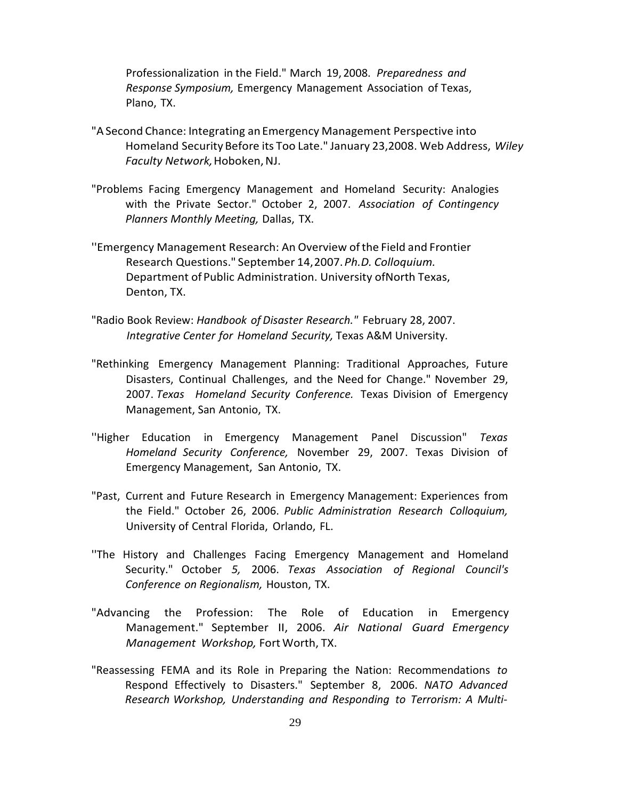Professionalization in the Field." March 19, 2008. *Preparedness and Response Symposium,* Emergency Management Association of Texas, Plano, TX.

- "ASecond Chance: Integrating anEmergency Management Perspective into Homeland Security Before its Too Late." January 23,2008. Web Address, *Wiley* **Faculty Network, Hoboken, NJ.**
- "Problems Facing Emergency Management and Homeland Security: Analogies with the Private Sector." October 2, 2007. *Association of Contingency Planners Monthly Meeting,* Dallas, TX.
- ''Emergency Management Research: An Overview ofthe Field and Frontier Research Questions." September 14,2007.*Ph.D. Colloquium.* Department of Public Administration. University of North Texas, Denton, TX.
- "Radio Book Review: *Handbook of Disaster Research."* February 28, 2007. *Integrative Center for Homeland Security,* Texas A&M University.
- "Rethinking Emergency Management Planning: Traditional Approaches, Future Disasters, Continual Challenges, and the Need for Change." November 29, 2007. *Texas Homeland Security Conference.* Texas Division of Emergency Management, San Antonio, TX.
- ''Higher Education in Emergency Management Panel Discussion" *Texas Homeland Security Conference,* November 29, 2007. Texas Division of Emergency Management, San Antonio, TX.
- "Past, Current and Future Research in Emergency Management: Experiences from the Field." October 26, 2006. *Public Administration Research Colloquium,* University of Central Florida, Orlando, FL.
- ''The History and Challenges Facing Emergency Management and Homeland Security." October *5,* 2006. *Texas Association of Regional Council's Conference on Regionalism,* Houston, TX.
- "Advancing the Profession: The Role of Education in Emergency Management." September II, 2006. *Air National Guard Emergency Management Workshop,* Fort Worth, TX.
- "Reassessing FEMA and its Role in Preparing the Nation: Recommendations *to* Respond Effectively to Disasters." September 8, 2006. *NATO Advanced Research Workshop, Understanding and Responding to Terrorism: A Multi-*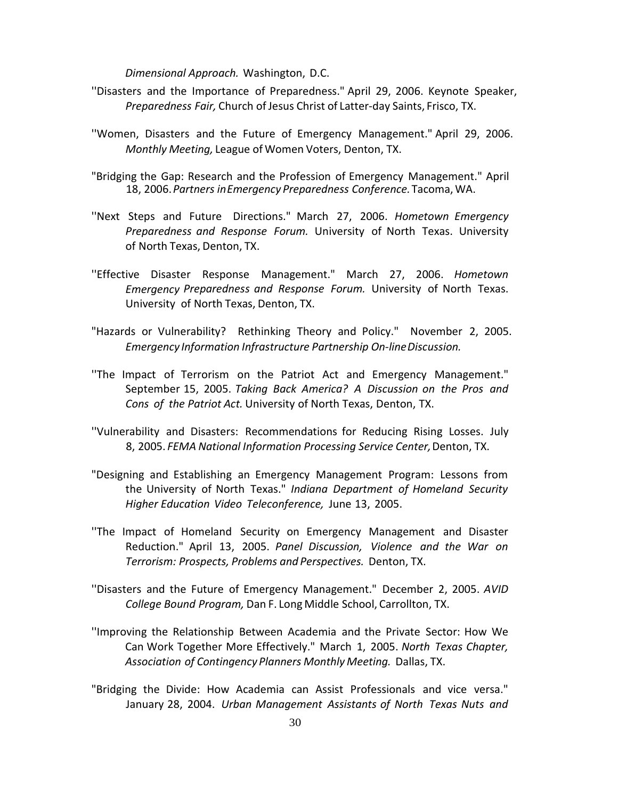*Dimensional Approach.* Washington, D.C.

- ''Disasters and the Importance of Preparedness." April 29, 2006. Keynote Speaker, *Preparedness Fair,* Church of Jesus Christ of Latter-day Saints, Frisco, TX.
- ''Women, Disasters and the Future of Emergency Management." April 29, 2006. *Monthly Meeting,* League of Women Voters, Denton, TX.
- "Bridging the Gap: Research and the Profession of Emergency Management." April 18, 2006.*Partners inEmergency Preparedness Conference.*Tacoma,WA.
- ''Next Steps and Future Directions." March 27, 2006. *Hometown Emergency Preparedness and Response Forum.* University of North Texas. University of North Texas, Denton, TX.
- ''Effective Disaster Response Management." March 27, 2006. *Hometown Emergency Preparedness and Response Forum.* University of North Texas. University of North Texas, Denton, TX.
- "Hazards or Vulnerability? Rethinking Theory and Policy." November 2, 2005. *Emergency Information Infrastructure Partnership On-lineDiscussion.*
- ''The Impact of Terrorism on the Patriot Act and Emergency Management." September 15, 2005. *Taking Back America? A Discussion on the Pros and Cons of the Patriot Act.* University of North Texas, Denton, TX.
- ''Vulnerability and Disasters: Recommendations for Reducing Rising Losses. July 8, 2005. *FEMA National Information Processing Service Center,*Denton, TX.
- "Designing and Establishing an Emergency Management Program: Lessons from the University of North Texas." *Indiana Department of Homeland Security Higher Education Video Teleconference,* June 13, 2005.
- ''The Impact of Homeland Security on Emergency Management and Disaster Reduction." April 13, 2005. *Panel Discussion, Violence and the War on Terrorism: Prospects, Problems and Perspectives.* Denton, TX.
- ''Disasters and the Future of Emergency Management." December 2, 2005. *AVID College Bound Program,* Dan F. Long Middle School, Carrollton, TX.
- ''Improving the Relationship Between Academia and the Private Sector: How We Can Work Together More Effectively." March 1, 2005. *North Texas Chapter, Association of Contingency Planners Monthly Meeting.* Dallas, TX.
- "Bridging the Divide: How Academia can Assist Professionals and vice versa." January 28, 2004. *Urban Management Assistants of North Texas Nuts and*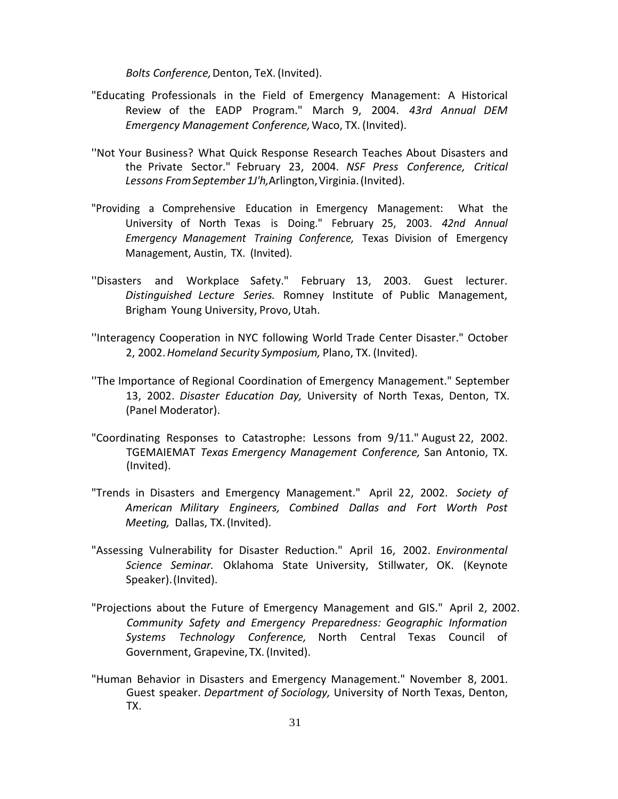*Bolts Conference,*Denton, TeX. (Invited).

- "Educating Professionals in the Field of Emergency Management: A Historical Review of the EADP Program." March 9, 2004. *43rd Annual DEM Emergency Management Conference,*Waco, TX. (Invited).
- ''Not Your Business? What Quick Response Research Teaches About Disasters and the Private Sector." February 23, 2004. *NSF Press Conference, Critical Lessons FromSeptember 1J'h,*Arlington,Virginia.(Invited).
- "Providing a Comprehensive Education in Emergency Management: What the University of North Texas is Doing." February 25, 2003. *42nd Annual Emergency Management Training Conference,* Texas Division of Emergency Management, Austin, TX. (Invited).
- ''Disasters and Workplace Safety." February 13, 2003. Guest lecturer. *Distinguished Lecture Series.* Romney Institute of Public Management, Brigham Young University, Provo, Utah.
- ''Interagency Cooperation in NYC following World Trade Center Disaster." October 2, 2002.*Homeland Security Symposium,* Plano, TX. (Invited).
- ''The Importance of Regional Coordination of Emergency Management." September 13, 2002. *Disaster Education Day,* University of North Texas, Denton, TX. (Panel Moderator).
- "Coordinating Responses to Catastrophe: Lessons from 9/11." August 22, 2002. TGEMAIEMAT *Texas Emergency Management Conference,* San Antonio, TX. (Invited).
- "Trends in Disasters and Emergency Management." April 22, 2002. *Society of American Military Engineers, Combined Dallas and Fort Worth Post Meeting,* Dallas, TX.(Invited).
- "Assessing Vulnerability for Disaster Reduction." April 16, 2002. *Environmental Science Seminar.* Oklahoma State University, Stillwater, OK. (Keynote Speaker).(Invited).
- "Projections about the Future of Emergency Management and GIS." April 2, 2002. *Community Safety and Emergency Preparedness: Geographic Information Systems Technology Conference,* North Central Texas Council of Government, Grapevine, TX.(Invited).
- "Human Behavior in Disasters and Emergency Management." November 8, 2001. Guest speaker. *Department of Sociology,* University of North Texas, Denton, TX.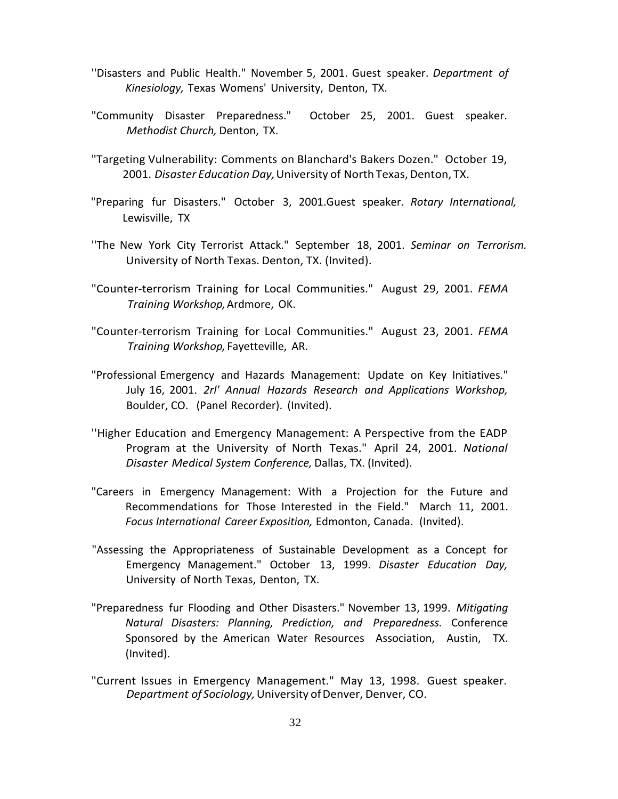- ''Disasters and Public Health." November 5, 2001. Guest speaker. *Department of Kinesiology,* Texas Womens' University, Denton, TX.
- "Community Disaster Preparedness." October 25, 2001. Guest speaker. *Methodist Church,* Denton, TX.
- "Targeting Vulnerability: Comments on Blanchard's Bakers Dozen." October 19, 2001. *Disaster Education Day*, University of North Texas, Denton, TX.
- "Preparing fur Disasters." October 3, 2001.Guest speaker. *Rotary International,* Lewisville, TX
- ''The New York City Terrorist Attack." September 18, 2001. *Seminar on Terrorism.* University of North Texas. Denton, TX. (Invited).
- "Counter-terrorism Training for Local Communities." August 29, 2001. *FEMA Training Workshop,*Ardmore, OK.
- "Counter-terrorism Training for Local Communities." August 23, 2001. *FEMA Training Workshop,* Fayetteville, AR.
- "Professional Emergency and Hazards Management: Update on Key Initiatives." July 16, 2001. *2rl' Annual Hazards Research and Applications Workshop,* Boulder, CO. (Panel Recorder). (Invited).
- ''Higher Education and Emergency Management: A Perspective from the EADP Program at the University of North Texas." April 24, 2001. *National Disaster Medical System Conference,* Dallas, TX. (Invited).
- "Careers in Emergency Management: With a Projection for the Future and Recommendations for Those Interested in the Field." March 11, 2001. *Focus International Career Exposition,* Edmonton, Canada. (Invited).
- "Assessing the Appropriateness of Sustainable Development as a Concept for Emergency Management." October 13, 1999. *Disaster Education Day,* University of North Texas, Denton, TX.
- "Preparedness fur Flooding and Other Disasters." November 13, 1999. *Mitigating Natural Disasters: Planning, Prediction, and Preparedness.* Conference Sponsored by the American Water Resources Association, Austin, TX. (Invited).
- "Current Issues in Emergency Management." May 13, 1998. Guest speaker. *Department of Sociology, University of Denver, Denver, CO.*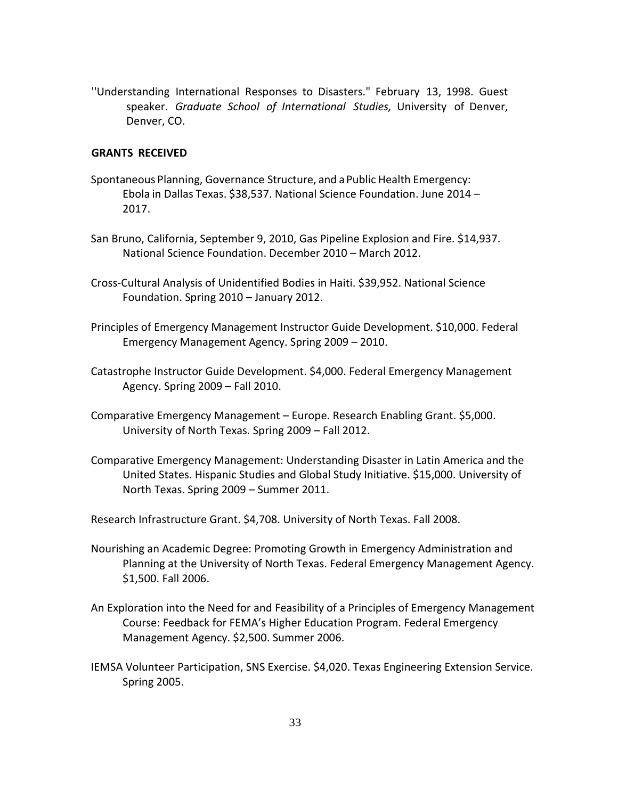''Understanding International Responses to Disasters." February 13, 1998. Guest speaker. *Graduate School of International Studies,* University of Denver, Denver, CO.

# **GRANTS RECEIVED**

- Spontaneous Planning, Governance Structure, and aPublic Health Emergency: Ebola in Dallas Texas. \$38,537. National Science Foundation. June 2014 – 2017.
- San Bruno, California, September 9, 2010, Gas Pipeline Explosion and Fire. \$14,937. National Science Foundation. December 2010 – March 2012.
- Cross-Cultural Analysis of Unidentified Bodies in Haiti. \$39,952. National Science Foundation. Spring 2010 – January 2012.
- Principles of Emergency Management Instructor Guide Development. \$10,000. Federal Emergency Management Agency. Spring 2009 – 2010.
- Catastrophe Instructor Guide Development. \$4,000. Federal Emergency Management Agency. Spring 2009 – Fall 2010.
- Comparative Emergency Management Europe. Research Enabling Grant. \$5,000. University of North Texas. Spring 2009 – Fall 2012.
- Comparative Emergency Management: Understanding Disaster in Latin America and the United States. Hispanic Studies and Global Study Initiative. \$15,000. University of North Texas. Spring 2009 – Summer 2011.

Research Infrastructure Grant. \$4,708. University of North Texas. Fall 2008.

- Nourishing an Academic Degree: Promoting Growth in Emergency Administration and Planning at the University of North Texas. Federal Emergency Management Agency. \$1,500. Fall 2006.
- An Exploration into the Need for and Feasibility of a Principles of Emergency Management Course: Feedback for FEMA's Higher Education Program. Federal Emergency Management Agency. \$2,500. Summer 2006.
- IEMSA Volunteer Participation, SNS Exercise. \$4,020. Texas Engineering Extension Service. Spring 2005.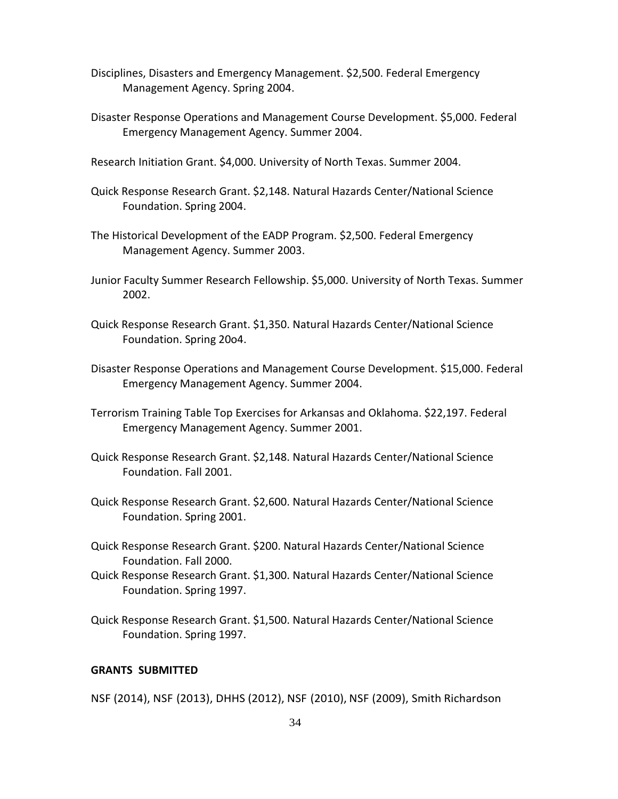- Disciplines, Disasters and Emergency Management. \$2,500. Federal Emergency Management Agency. Spring 2004.
- Disaster Response Operations and Management Course Development. \$5,000. Federal Emergency Management Agency. Summer 2004.
- Research Initiation Grant. \$4,000. University of North Texas. Summer 2004.
- Quick Response Research Grant. \$2,148. Natural Hazards Center/National Science Foundation. Spring 2004.
- The Historical Development of the EADP Program. \$2,500. Federal Emergency Management Agency. Summer 2003.
- Junior Faculty Summer Research Fellowship. \$5,000. University of North Texas. Summer 2002.
- Quick Response Research Grant. \$1,350. Natural Hazards Center/National Science Foundation. Spring 20o4.
- Disaster Response Operations and Management Course Development. \$15,000. Federal Emergency Management Agency. Summer 2004.
- Terrorism Training Table Top Exercises for Arkansas and Oklahoma. \$22,197. Federal Emergency Management Agency. Summer 2001.
- Quick Response Research Grant. \$2,148. Natural Hazards Center/National Science Foundation. Fall 2001.
- Quick Response Research Grant. \$2,600. Natural Hazards Center/National Science Foundation. Spring 2001.
- Quick Response Research Grant. \$200. Natural Hazards Center/National Science Foundation. Fall 2000.
- Quick Response Research Grant. \$1,300. Natural Hazards Center/National Science Foundation. Spring 1997.
- Quick Response Research Grant. \$1,500. Natural Hazards Center/National Science Foundation. Spring 1997.

### **GRANTS SUBMITTED**

NSF (2014), NSF (2013), DHHS (2012), NSF (2010), NSF (2009), Smith Richardson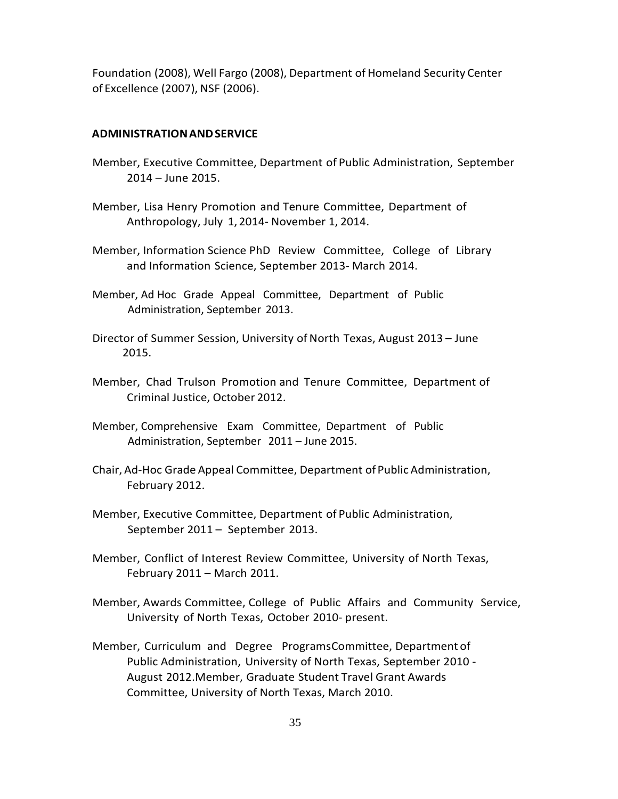Foundation (2008), Well Fargo (2008), Department of Homeland Security Center of Excellence (2007), NSF (2006).

# **ADMINISTRATIONANDSERVICE**

- Member, Executive Committee, Department of Public Administration, September 2014 – June 2015.
- Member, Lisa Henry Promotion and Tenure Committee, Department of Anthropology, July 1, 2014- November 1, 2014.
- Member, Information Science PhD Review Committee, College of Library and Information Science, September 2013- March 2014.
- Member, Ad Hoc Grade Appeal Committee, Department of Public Administration, September 2013.
- Director of Summer Session, University of North Texas, August 2013 June 2015.
- Member, Chad Trulson Promotion and Tenure Committee, Department of Criminal Justice, October 2012.
- Member, Comprehensive Exam Committee, Department of Public Administration, September 2011 – June 2015.
- Chair, Ad-Hoc Grade Appeal Committee, Department of Public Administration, February 2012.
- Member, Executive Committee, Department of Public Administration, September 2011 – September 2013.
- Member, Conflict of Interest Review Committee, University of North Texas, February 2011 – March 2011.
- Member, Awards Committee, College of Public Affairs and Community Service, University of North Texas, October 2010- present.
- Member, Curriculum and Degree ProgramsCommittee, Department of Public Administration, University of North Texas, September 2010 - August 2012.Member, Graduate Student Travel Grant Awards Committee, University of North Texas, March 2010.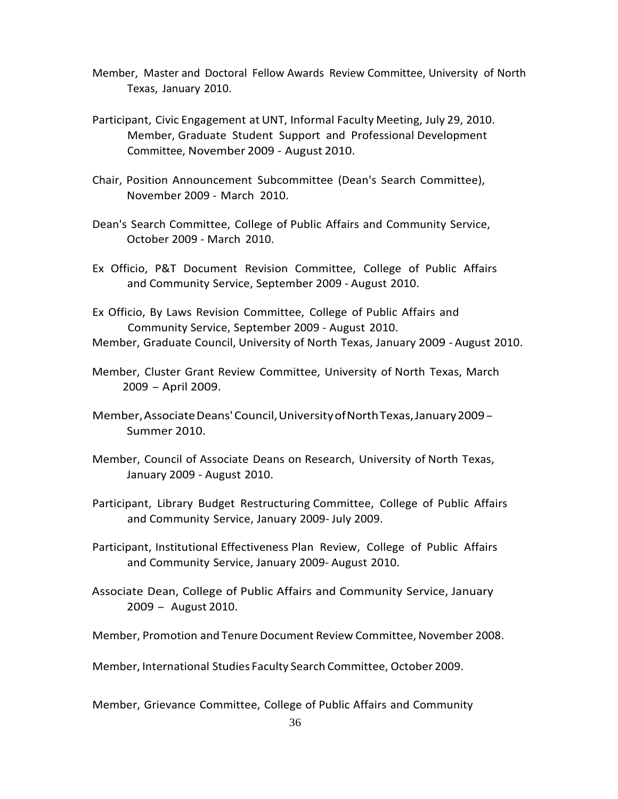- Member, Master and Doctoral Fellow Awards Review Committee, University of North Texas, January 2010.
- Participant, Civic Engagement at UNT, Informal Faculty Meeting, July 29, 2010. Member, Graduate Student Support and Professional Development Committee, November 2009 - August 2010.
- Chair, Position Announcement Subcommittee (Dean's Search Committee), November 2009 - March 2010.
- Dean's Search Committee, College of Public Affairs and Community Service, October 2009 - March 2010.
- Ex Officio, P&T Document Revision Committee, College of Public Affairs and Community Service, September 2009 - August 2010.
- Ex Officio, By Laws Revision Committee, College of Public Affairs and Community Service, September 2009 - August 2010. Member, Graduate Council, University of North Texas, January 2009 - August 2010.
- Member, Cluster Grant Review Committee, University of North Texas, March <sup>2009</sup> - April 2009.
- Member, Associate Deans' Council, University of North Texas, January 2009 -Summer 2010.
- Member, Council of Associate Deans on Research, University of North Texas, January 2009 - August 2010.
- Participant, Library Budget Restructuring Committee, College of Public Affairs and Community Service, January 2009- July 2009.
- Participant, Institutional Effectiveness Plan Review, College of Public Affairs and Community Service, January 2009- August 2010.
- Associate Dean, College of Public Affairs and Community Service, January <sup>2009</sup> - August 2010.

Member, Promotion and Tenure Document Review Committee, November 2008.

Member, International Studies Faculty Search Committee, October 2009.

Member, Grievance Committee, College of Public Affairs and Community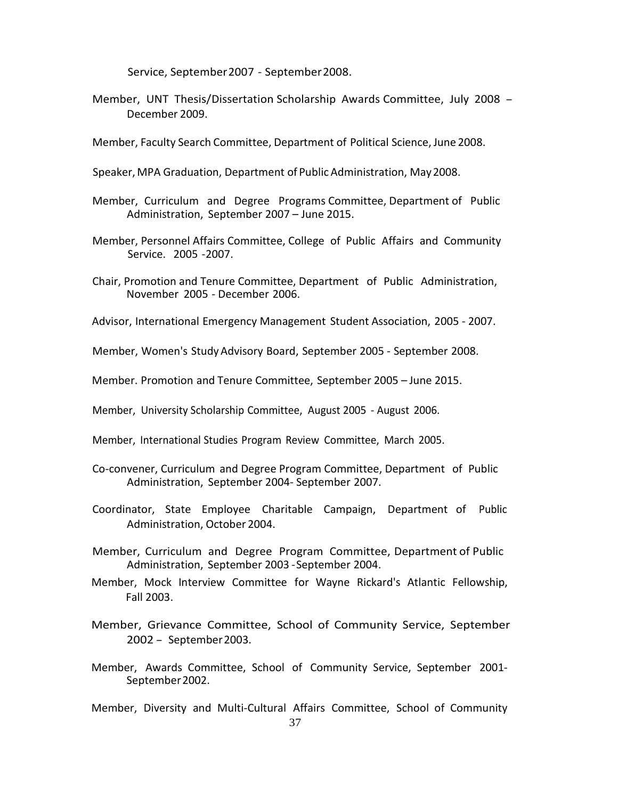Service, September2007 - September2008.

- Member, UNT Thesis/Dissertation Scholarship Awards Committee, July <sup>2008</sup> December 2009.
- Member, Faculty Search Committee, Department of Political Science, June 2008.
- Speaker, MPA Graduation, Department of Public Administration, May 2008.
- Member, Curriculum and Degree Programs Committee, Department of Public Administration, September 2007 – June 2015.
- Member, Personnel Affairs Committee, College of Public Affairs and Community Service. 2005 -2007.
- Chair, Promotion and Tenure Committee, Department of Public Administration, November 2005 - December 2006.
- Advisor, International Emergency Management Student Association, 2005 2007.
- Member, Women's StudyAdvisory Board, September 2005 September 2008.
- Member. Promotion and Tenure Committee, September 2005 June 2015.
- Member, University Scholarship Committee, August 2005 August 2006.
- Member, International Studies Program Review Committee, March 2005.
- Co-convener, Curriculum and Degree Program Committee, Department of Public Administration, September 2004- September 2007.
- Coordinator, State Employee Charitable Campaign, Department of Public Administration, October 2004.
- Member, Curriculum and Degree Program Committee, Department of Public Administration, September 2003 -September 2004.
- Member, Mock Interview Committee for Wayne Rickard's Atlantic Fellowship, Fall 2003.
- Member, Grievance Committee, School of Community Service, September <sup>2002</sup> - September2003.
- Member, Awards Committee, School of Community Service, September 2001- September 2002.
- Member, Diversity and Multi-Cultural Affairs Committee, School of Community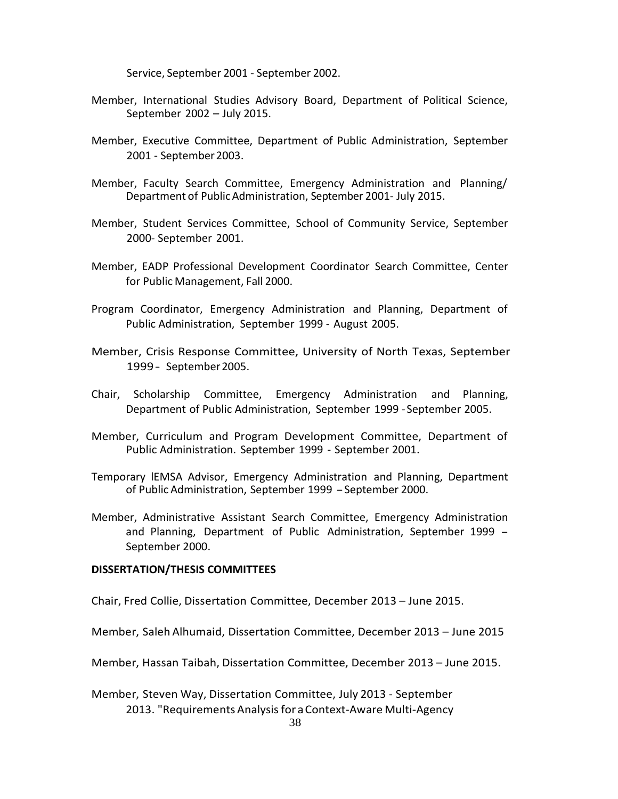Service, September 2001 - September 2002.

- Member, International Studies Advisory Board, Department of Political Science, September 2002 – July 2015.
- Member, Executive Committee, Department of Public Administration, September 2001 - September2003.
- Member, Faculty Search Committee, Emergency Administration and Planning/ Department of PublicAdministration, September 2001- July 2015.
- Member, Student Services Committee, School of Community Service, September 2000- September 2001.
- Member, EADP Professional Development Coordinator Search Committee, Center for Public Management, Fall 2000.
- Program Coordinator, Emergency Administration and Planning, Department of Public Administration, September 1999 - August 2005.
- Member, Crisis Response Committee, University of North Texas, September 1999- September2005.
- Chair, Scholarship Committee, Emergency Administration and Planning, Department of Public Administration, September 1999 -September 2005.
- Member, Curriculum and Program Development Committee, Department of Public Administration. September 1999 - September 2001.
- Temporary lEMSA Advisor, Emergency Administration and Planning, Department of Public Administration, September <sup>1999</sup> -September 2000.
- Member, Administrative Assistant Search Committee, Emergency Administration and Planning, Department of Public Administration, September 1999 - September 2000.

### **DISSERTATION/THESIS COMMITTEES**

Chair, Fred Collie, Dissertation Committee, December 2013 – June 2015.

Member, Saleh Alhumaid, Dissertation Committee, December 2013 – June 2015

Member, Hassan Taibah, Dissertation Committee, December 2013 – June 2015.

Member, Steven Way, Dissertation Committee, July 2013 - September 2013. "Requirements Analysis for a Context-Aware Multi-Agency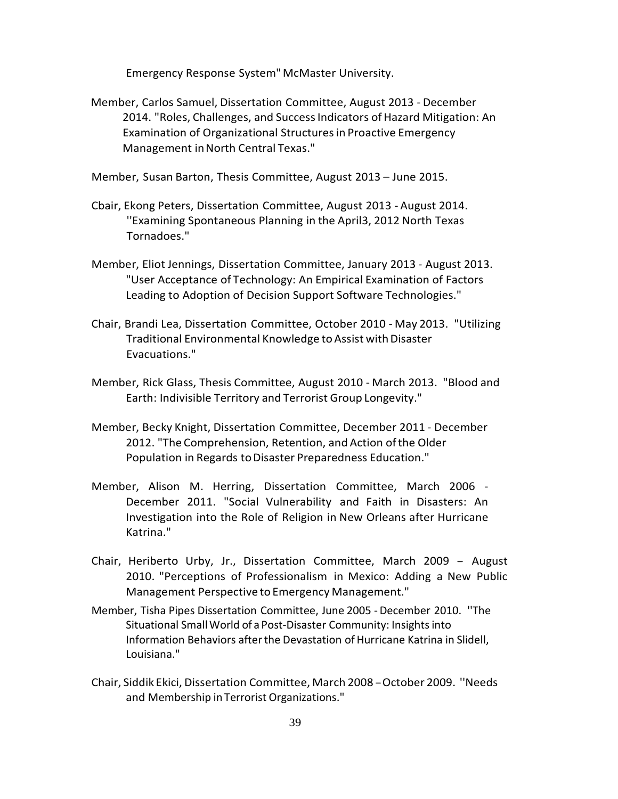Emergency Response System"McMaster University.

Member, Carlos Samuel, Dissertation Committee, August 2013 - December 2014. "Roles, Challenges, and Success Indicators of Hazard Mitigation: An Examination of Organizational Structuresin Proactive Emergency Management inNorth Central Texas."

Member, Susan Barton, Thesis Committee, August 2013 – June 2015.

- Cbair, Ekong Peters, Dissertation Committee, August 2013 August 2014. ''Examining Spontaneous Planning in the April3, 2012 North Texas Tornadoes."
- Member, Eliot Jennings, Dissertation Committee, January 2013 August 2013. "User Acceptance of Technology: An Empirical Examination of Factors Leading to Adoption of Decision Support Software Technologies."
- Chair, Brandi Lea, Dissertation Committee, October 2010 May 2013. "Utilizing Traditional Environmental Knowledge to Assist with Disaster Evacuations."
- Member, Rick Glass, Thesis Committee, August 2010 March 2013. "Blood and Earth: Indivisible Territory and Terrorist Group Longevity."
- Member, Becky Knight, Dissertation Committee, December 2011 December 2012. "The Comprehension, Retention, and Action ofthe Older Population in Regards to Disaster Preparedness Education."
- Member, Alison M. Herring, Dissertation Committee, March 2006 December 2011. "Social Vulnerability and Faith in Disasters: An Investigation into the Role of Religion in New Orleans after Hurricane Katrina."
- Chair, Heriberto Urby, Jr., Dissertation Committee, March <sup>2009</sup> August 2010. "Perceptions of Professionalism in Mexico: Adding a New Public Management Perspective to Emergency Management."
- Member, Tisha Pipes Dissertation Committee, June 2005 December 2010. ''The Situational Small World of a Post-Disaster Community: Insights into Information Behaviors after the Devastation of Hurricane Katrina in Slidell, Louisiana."
- Chair, Siddik Ekici, Dissertation Committee, March <sup>2008</sup> -October 2009. ''Needs and Membership in Terrorist Organizations."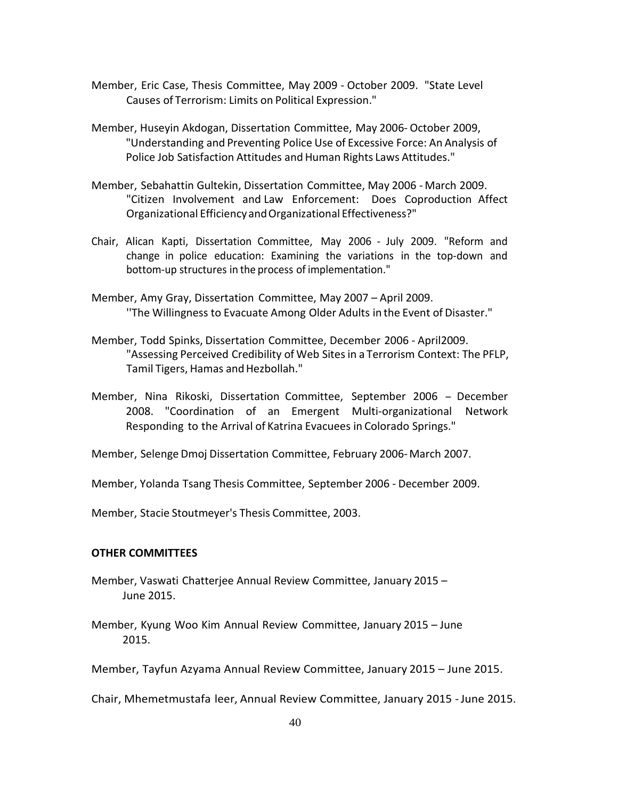- Member, Eric Case, Thesis Committee, May 2009 October 2009. "State Level Causes of Terrorism: Limits on Political Expression."
- Member, Huseyin Akdogan, Dissertation Committee, May 2006- October 2009, "Understanding and Preventing Police Use of Excessive Force: An Analysis of Police Job Satisfaction Attitudes and Human Rights Laws Attitudes."
- Member, Sebahattin Gultekin, Dissertation Committee, May 2006 March 2009. "Citizen Involvement and Law Enforcement: Does Coproduction Affect Organizational EfficiencyandOrganizational Effectiveness?"
- Chair, Alican Kapti, Dissertation Committee, May 2006 July 2009. "Reform and change in police education: Examining the variations in the top-down and bottom-up structures in the process of implementation."
- Member, Amy Gray, Dissertation Committee, May 2007 April 2009. ''The Willingness to Evacuate Among Older Adults in the Event of Disaster."
- Member, Todd Spinks, Dissertation Committee, December 2006 April2009. "Assessing Perceived Credibility of Web Sitesin a Terrorism Context: The PFLP, Tamil Tigers, Hamas and Hezbollah."
- Member, Nina Rikoski, Dissertation Committee, September <sup>2006</sup> December 2008. "Coordination of an Emergent Multi-organizational Network Responding to the Arrival of Katrina Evacuees in Colorado Springs."
- Member, Selenge Dmoj Dissertation Committee, February 2006-March 2007.
- Member, Yolanda Tsang Thesis Committee, September 2006 December 2009.

Member, Stacie Stoutmeyer's Thesis Committee, 2003.

### **OTHER COMMITTEES**

- Member, Vaswati Chatterjee Annual Review Committee, January 2015 June 2015.
- Member, Kyung Woo Kim Annual Review Committee, January 2015 June 2015.

Member, Tayfun Azyama Annual Review Committee, January 2015 – June 2015.

Chair, Mhemetmustafa leer, Annual Review Committee, January 2015 -June 2015.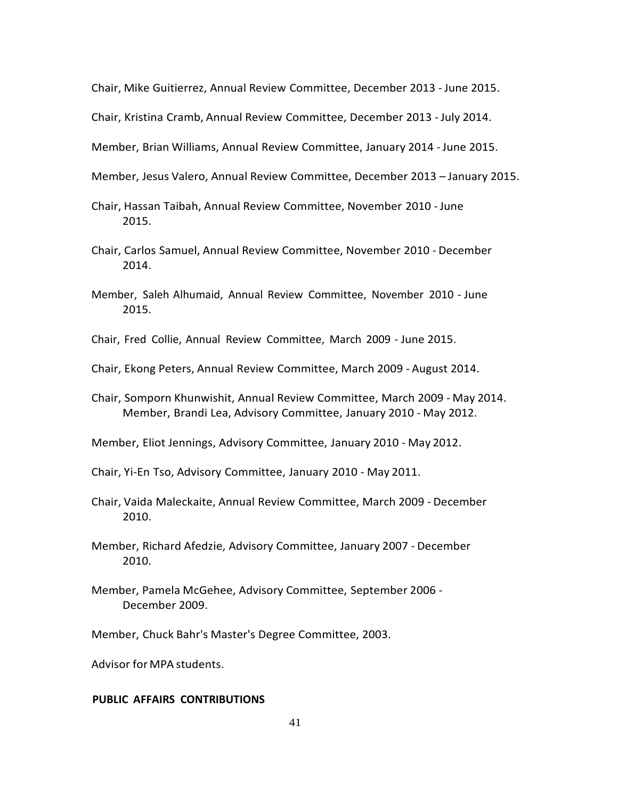Chair, Mike Guitierrez, Annual Review Committee, December 2013 - June 2015.

Chair, Kristina Cramb, Annual Review Committee, December 2013 - July 2014.

Member, Brian Williams, Annual Review Committee, January 2014 -June 2015.

- Member, Jesus Valero, Annual Review Committee, December 2013 January 2015.
- Chair, Hassan Taibah, Annual Review Committee, November 2010 -June 2015.
- Chair, Carlos Samuel, Annual Review Committee, November 2010 December 2014.
- Member, Saleh Alhumaid, Annual Review Committee, November 2010 June 2015.
- Chair, Fred Collie, Annual Review Committee, March 2009 June 2015.
- Chair, Ekong Peters, Annual Review Committee, March 2009 August 2014.
- Chair, Somporn Khunwishit, Annual Review Committee, March 2009 May 2014. Member, Brandi Lea, Advisory Committee, January 2010 - May 2012.
- Member, Eliot Jennings, Advisory Committee, January 2010 May 2012.

Chair, Yi-En Tso, Advisory Committee, January 2010 - May 2011.

- Chair, Vaida Maleckaite, Annual Review Committee, March 2009 December 2010.
- Member, Richard Afedzie, Advisory Committee, January 2007 December 2010.
- Member, Pamela McGehee, Advisory Committee, September 2006 December 2009.

Member, Chuck Bahr's Master's Degree Committee, 2003.

Advisor for MPA students.

# **PUBLIC AFFAIRS CONTRIBUTIONS**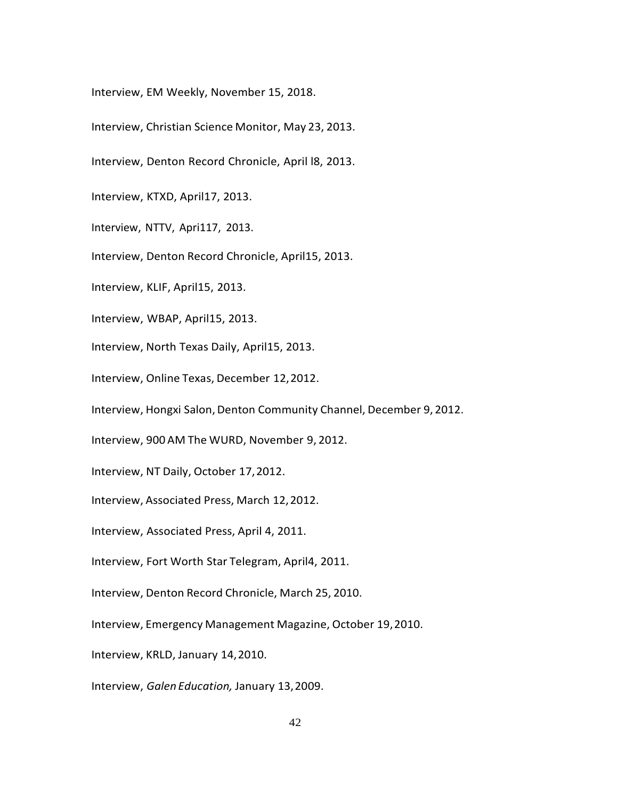Interview, EM Weekly, November 15, 2018.

- Interview, Christian Science Monitor, May 23, 2013.
- Interview, Denton Record Chronicle, April l8, 2013.
- Interview, KTXD, April17, 2013.
- Interview, NTTV, Apri117, 2013.
- Interview, Denton Record Chronicle, April15, 2013.
- Interview, KLIF, April15, 2013.
- Interview, WBAP, April15, 2013.
- Interview, North Texas Daily, April15, 2013.
- Interview, Online Texas, December 12,2012.
- Interview, Hongxi Salon, Denton Community Channel, December 9, 2012.
- Interview, 900 AM The WURD, November 9, 2012.
- Interview, NT Daily, October 17,2012.
- Interview, Associated Press, March 12,2012.
- Interview, Associated Press, April 4, 2011.
- Interview, Fort Worth Star Telegram, April4, 2011.
- Interview, Denton Record Chronicle, March 25, 2010.
- Interview, Emergency Management Magazine, October 19,2010.
- Interview, KRLD, January 14,2010.
- Interview, *Galen Education,* January 13,2009.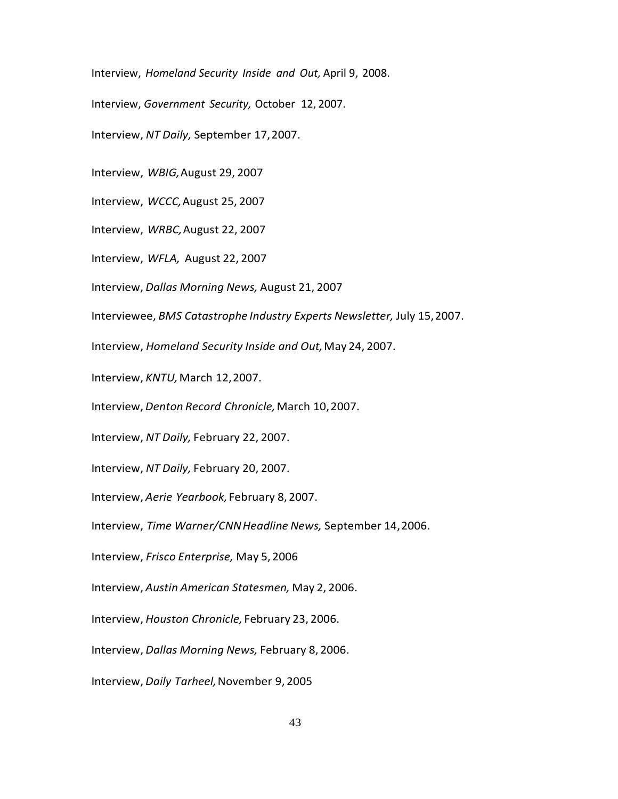Interview, *Homeland Security Inside and Out,* April 9, 2008.

Interview, *Government Security,* October 12, 2007.

Interview, *NT Daily,* September 17,2007.

Interview, *WBIG,*August 29, 2007

Interview, *WCCC,*August 25, 2007

Interview, *WRBC,*August 22, 2007

Interview, *WFLA,* August 22, 2007

Interview, *Dallas Morning News,* August 21, 2007

Interviewee, *BMS Catastrophe Industry Experts Newsletter,* July 15,2007.

Interview, *Homeland Security Inside and Out,*May 24, 2007.

Interview, KNTU, March 12, 2007.

Interview, *Denton Record Chronicle,*March 10,2007.

Interview, *NT Daily,* February 22, 2007.

Interview, *NT Daily,* February 20, 2007.

Interview, *Aerie Yearbook,* February 8,2007.

Interview, *Time Warner/CNNHeadline News,* September 14,2006.

Interview, *Frisco Enterprise,* May 5, 2006

Interview, *Austin American Statesmen,* May 2, 2006.

Interview, *Houston Chronicle,* February 23, 2006.

Interview, *Dallas Morning News,* February 8, 2006.

Interview, *Daily Tarheel,*November 9, 2005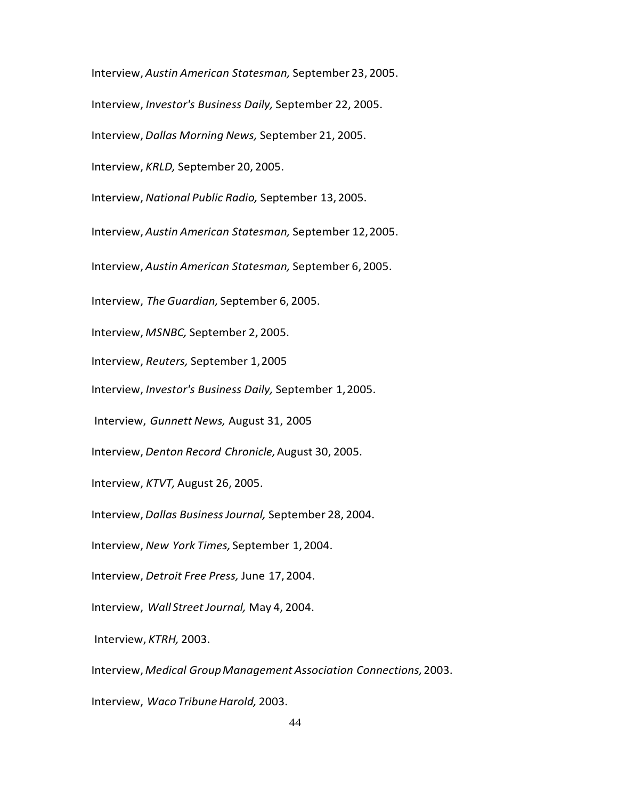Interview, *Austin American Statesman,* September 23, 2005. Interview, *Investor's Business Daily,* September 22, 2005. Interview, *Dallas Morning News,* September 21, 2005. Interview, *KRLD,* September 20, 2005. Interview, *National Public Radio,* September 13,2005. Interview, *Austin American Statesman,* September 12,2005. Interview, *Austin American Statesman,* September 6,2005. Interview, *The Guardian,* September 6, 2005. Interview, *MSNBC,* September 2, 2005. Interview, *Reuters,* September 1,2005 Interview, *Investor's Business Daily,* September 1,2005. Interview, *Gunnett News,* August 31, 2005 Interview, *Denton Record Chronicle,*August 30, 2005. Interview, *KTVT,* August 26, 2005. Interview, *Dallas BusinessJournal,* September 28, 2004. Interview, *New York Times,* September 1,2004. Interview, *Detroit Free Press,* June 17,2004. Interview, *Wall Street Journal,* May 4, 2004. Interview, *KTRH,* 2003. Interview, *Medical GroupManagement Association Connections,*2003. Interview, *WacoTribuneHarold,* 2003.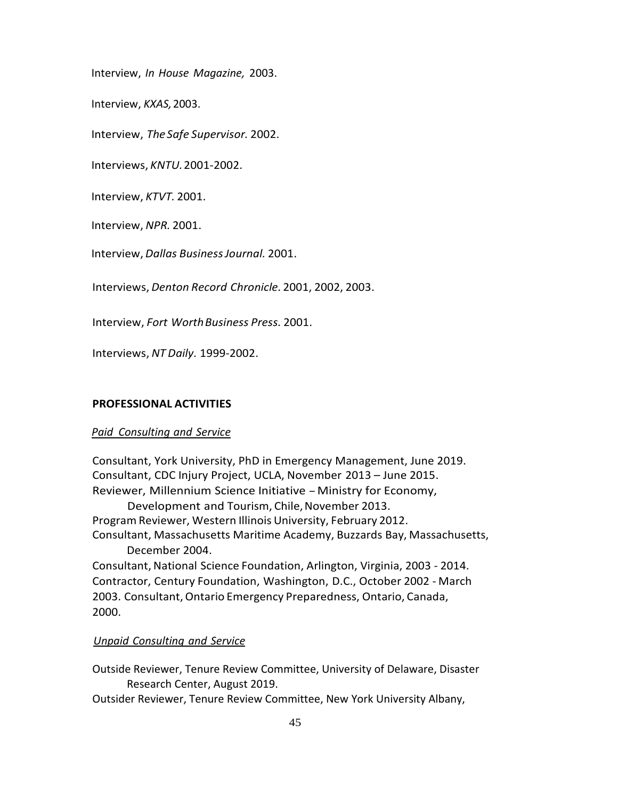Interview, *In House Magazine,* 2003.

Interview, *KXAS,*2003.

Interview, *The Safe Supervisor.* 2002.

Interviews, *KNTU.*2001-2002.

Interview, *KTVT.* 2001.

Interview, *NPR.* 2001.

Interview, *Dallas BusinessJournal.* 2001.

Interviews, *Denton Record Chronicle.* 2001, 2002, 2003.

Interview, *Fort WorthBusiness Press.* 2001.

Interviews, *NT Daily.* 1999-2002.

### **PROFESSIONAL ACTIVITIES**

# *Paid Consulting and Service*

Consultant, York University, PhD in Emergency Management, June 2019. Consultant, CDC Injury Project, UCLA, November 2013 – June 2015. Reviewer, Millennium Science Initiative - Ministry for Economy,

Development and Tourism, Chile, November 2013. Program Reviewer, Western Illinois University, February 2012. Consultant, Massachusetts Maritime Academy, Buzzards Bay, Massachusetts, December 2004.

Consultant, National Science Foundation, Arlington, Virginia, 2003 - 2014. Contractor, Century Foundation, Washington, D.C., October 2002 - March 2003. Consultant,Ontario Emergency Preparedness, Ontario, Canada, 2000.

# *Unpaid Consulting and Service*

Outside Reviewer, Tenure Review Committee, University of Delaware, Disaster Research Center, August 2019.

Outsider Reviewer, Tenure Review Committee, New York University Albany,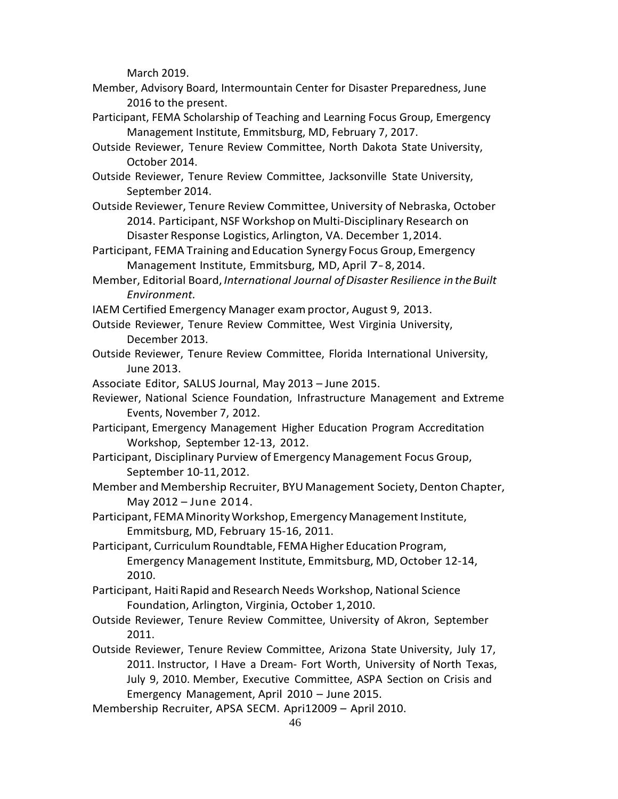March 2019.

- Member, Advisory Board, Intermountain Center for Disaster Preparedness, June 2016 to the present.
- Participant, FEMA Scholarship of Teaching and Learning Focus Group, Emergency Management Institute, Emmitsburg, MD, February 7, 2017.
- Outside Reviewer, Tenure Review Committee, North Dakota State University, October 2014.
- Outside Reviewer, Tenure Review Committee, Jacksonville State University, September 2014.
- Outside Reviewer, Tenure Review Committee, University of Nebraska, October 2014. Participant, NSF Workshop on Multi-Disciplinary Research on Disaster Response Logistics, Arlington, VA. December 1,2014.
- Participant, FEMA Training and Education Synergy Focus Group, Emergency Management Institute, Emmitsburg, MD, April 7-8, 2014.
- Member, Editorial Board, *International Journal ofDisaster Resilience in theBuilt Environment.*
- IAEM Certified Emergency Manager examproctor, August 9, 2013.
- Outside Reviewer, Tenure Review Committee, West Virginia University, December 2013.
- Outside Reviewer, Tenure Review Committee, Florida International University, June 2013.
- Associate Editor, SALUS Journal, May 2013 June 2015.
- Reviewer, National Science Foundation, Infrastructure Management and Extreme Events, November 7, 2012.
- Participant, Emergency Management Higher Education Program Accreditation Workshop, September 12-13, 2012.
- Participant, Disciplinary Purview of Emergency Management Focus Group, September 10-11,2012.
- Member and Membership Recruiter, BYU Management Society, Denton Chapter, May 2012 – June 2014.
- Participant, FEMA Minority Workshop, Emergency Management Institute, Emmitsburg, MD, February 15-16, 2011.
- Participant, Curriculum Roundtable, FEMA Higher Education Program, Emergency Management Institute, Emmitsburg, MD, October 12-14, 2010.
- Participant, Haiti Rapid and Research Needs Workshop, National Science Foundation, Arlington, Virginia, October 1,2010.
- Outside Reviewer, Tenure Review Committee, University of Akron, September 2011.
- Outside Reviewer, Tenure Review Committee, Arizona State University, July 17, 2011. Instructor, I Have a Dream- Fort Worth, University of North Texas, July 9, 2010. Member, Executive Committee, ASPA Section on Crisis and Emergency Management, April 2010 – June 2015.
- Membership Recruiter, APSA SECM. Apri12009 April 2010.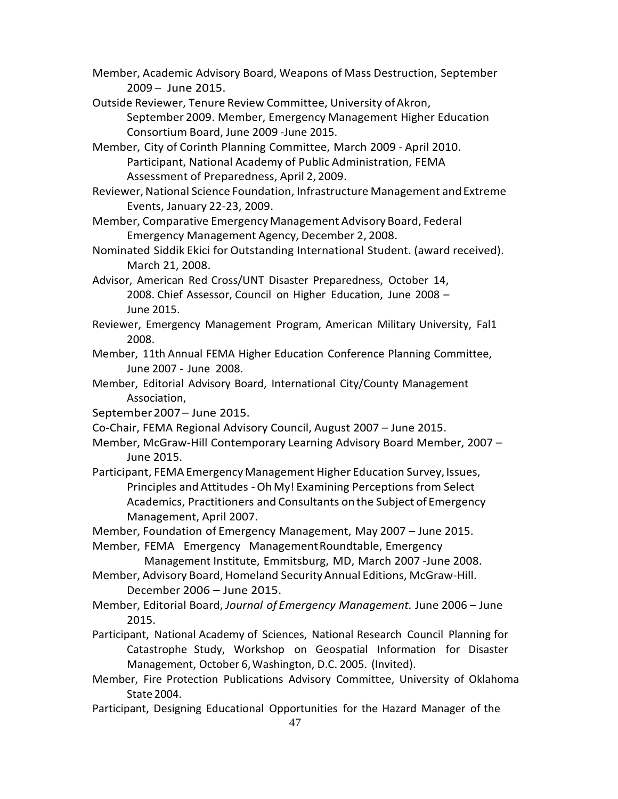Member, Academic Advisory Board, Weapons of Mass Destruction, September 2009 – June 2015.

- Outside Reviewer, Tenure Review Committee, University ofAkron, September 2009. Member, Emergency Management Higher Education Consortium Board, June 2009 -June 2015.
- Member, City of Corinth Planning Committee, March 2009 April 2010. Participant, National Academy of Public Administration, FEMA Assessment of Preparedness, April 2, 2009.
- Reviewer, National Science Foundation, Infrastructure Management and Extreme Events, January 22-23, 2009.

Member, Comparative EmergencyManagement Advisory Board, Federal Emergency Management Agency, December 2, 2008.

- Nominated Siddik Ekici for Outstanding International Student. (award received). March 21, 2008.
- Advisor, American Red Cross/UNT Disaster Preparedness, October 14, 2008. Chief Assessor, Council on Higher Education, June 2008 – June 2015.
- Reviewer, Emergency Management Program, American Military University, Fal1 2008.
- Member, 11th Annual FEMA Higher Education Conference Planning Committee, June 2007 - June 2008.
- Member, Editorial Advisory Board, International City/County Management Association,
- September2007– June 2015.
- Co-Chair, FEMA Regional Advisory Council, August 2007 June 2015.
- Member, McGraw-Hill Contemporary Learning Advisory Board Member, 2007 June 2015.
- Participant, FEMA EmergencyManagement Higher Education Survey,Issues, Principles and Attitudes -OhMy! Examining Perceptions from Select Academics, Practitioners and Consultants onthe Subject of Emergency Management, April 2007.
- Member, Foundation of Emergency Management, May 2007 June 2015.

Member, FEMA Emergency ManagementRoundtable, Emergency

- Management Institute, Emmitsburg, MD, March 2007 -June 2008. Member, Advisory Board, Homeland SecurityAnnual Editions, McGraw-Hill.
	- December 2006 June 2015.
- Member, Editorial Board, *Journal of Emergency Management.* June 2006 June 2015.
- Participant, National Academy of Sciences, National Research Council Planning for Catastrophe Study, Workshop on Geospatial Information for Disaster Management, October 6,Washington, D.C. 2005. (Invited).
- Member, Fire Protection Publications Advisory Committee, University of Oklahoma State 2004.
- Participant, Designing Educational Opportunities for the Hazard Manager of the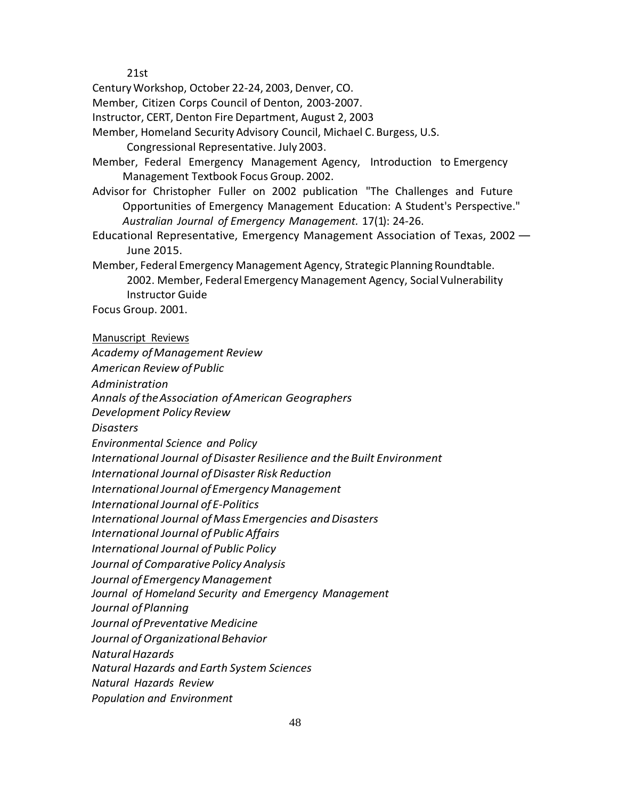21st

CenturyWorkshop, October 22-24, 2003, Denver, CO.

Member, Citizen Corps Council of Denton, 2003-2007.

Instructor, CERT, Denton Fire Department, August 2, 2003

Member, Homeland Security Advisory Council, Michael C. Burgess, U.S.

Congressional Representative. July 2003.

Member, Federal Emergency Management Agency, Introduction to Emergency Management Textbook Focus Group. 2002.

- Advisor for Christopher Fuller on 2002 publication "The Challenges and Future Opportunities of Emergency Management Education: A Student's Perspective." *Australian Journal of Emergency Management.* 17(1): 24-26.
- Educational Representative, Emergency Management Association of Texas, <sup>2002</sup> June 2015.

Member, Federal Emergency Management Agency, Strategic Planning Roundtable. 2002. Member, Federal Emergency Management Agency, Social Vulnerability Instructor Guide

Focus Group. 2001.

### Manuscript Reviews

*Academy ofManagement Review American Review ofPublic Administration Annals of theAssociation ofAmerican Geographers Development Policy Review Disasters Environmental Science and Policy International Journal ofDisaster Resilience and theBuilt Environment International Journal ofDisaster Risk Reduction International Journal ofEmergency Management International Journal ofE-Politics International Journal ofMass Emergencies andDisasters International Journal of Public Affairs International Journal of Public Policy Journal of Comparative Policy Analysis Journal ofEmergency Management Journal of Homeland Security and Emergency Management Journal ofPlanning Journal ofPreventative Medicine Journal ofOrganizational Behavior NaturalHazards Natural Hazards and Earth System Sciences Natural Hazards Review Population and Environment*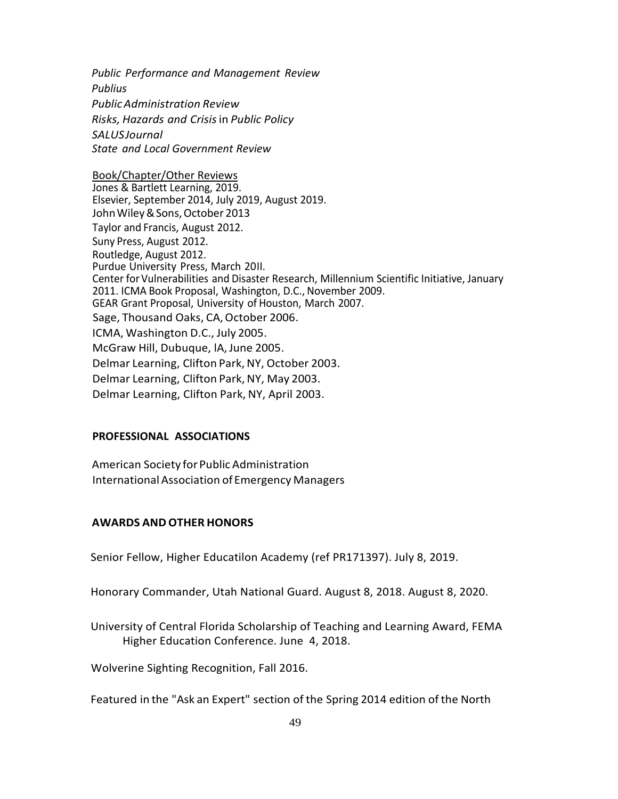*Public Performance and Management Review Publius PublicAdministration Review Risks, Hazards and Crisis*in *Public Policy SALUSJournal State and Local Government Review*

Book/Chapter/Other Reviews Jones & Bartlett Learning, 2019. Elsevier, September 2014, July 2019, August 2019. JohnWiley&Sons,October 2013 Taylor and Francis, August 2012. Suny Press, August 2012. Routledge, August 2012. Purdue University Press, March 20II. Center for Vulnerabilities and Disaster Research, Millennium Scientific Initiative, January 2011. ICMA Book Proposal, Washington, D.C., November 2009. GEAR Grant Proposal, University of Houston, March 2007. Sage, Thousand Oaks, CA, October 2006. ICMA, Washington D.C., July 2005. McGraw Hill, Dubuque, lA,June 2005. Delmar Learning, Clifton Park,NY, October 2003. Delmar Learning, Clifton Park, NY, May 2003. Delmar Learning, Clifton Park, NY, April 2003.

# **PROFESSIONAL ASSOCIATIONS**

American Society for Public Administration International Association ofEmergency Managers

# **AWARDS AND OTHER HONORS**

Senior Fellow, Higher Educatilon Academy (ref PR171397). July 8, 2019.

Honorary Commander, Utah National Guard. August 8, 2018. August 8, 2020.

University of Central Florida Scholarship of Teaching and Learning Award, FEMA Higher Education Conference. June 4, 2018.

Wolverine Sighting Recognition, Fall 2016.

Featured in the "Ask an Expert" section of the Spring 2014 edition of the North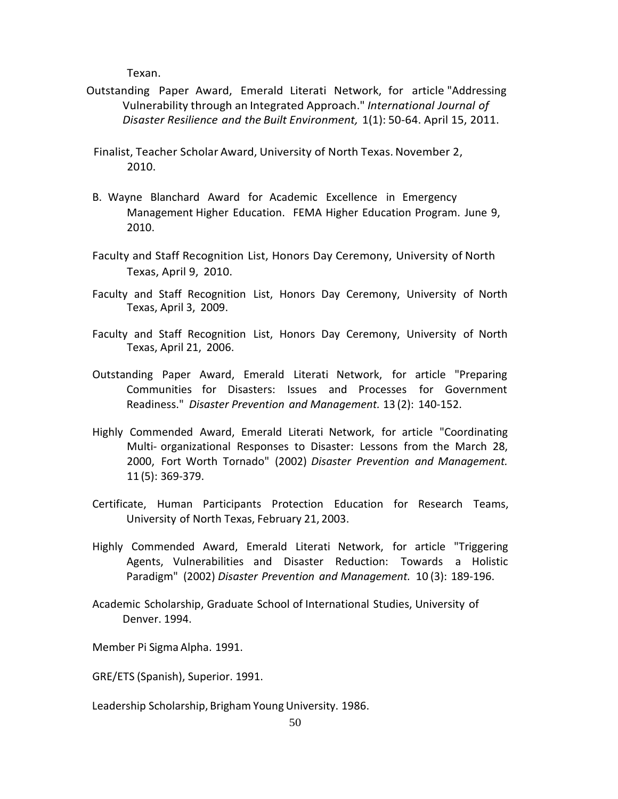Texan.

Outstanding Paper Award, Emerald Literati Network, for article "Addressing Vulnerability through an Integrated Approach." *International Journal of Disaster Resilience and the Built Environment,* 1(1): 50-64. April 15, 2011.

Finalist, Teacher Scholar Award, University of North Texas.November 2, 2010.

- B. Wayne Blanchard Award for Academic Excellence in Emergency Management Higher Education. FEMA Higher Education Program. June 9, 2010.
- Faculty and Staff Recognition List, Honors Day Ceremony, University of North Texas, April 9, 2010.
- Faculty and Staff Recognition List, Honors Day Ceremony, University of North Texas, April 3, 2009.
- Faculty and Staff Recognition List, Honors Day Ceremony, University of North Texas, April 21, 2006.
- Outstanding Paper Award, Emerald Literati Network, for article "Preparing Communities for Disasters: Issues and Processes for Government Readiness." *Disaster Prevention and Management.* 13 (2): 140-152.
- Highly Commended Award, Emerald Literati Network, for article "Coordinating Multi- organizational Responses to Disaster: Lessons from the March 28, 2000, Fort Worth Tornado" (2002) *Disaster Prevention and Management.* 11 (5): 369-379.
- Certificate, Human Participants Protection Education for Research Teams, University of North Texas, February 21, 2003.
- Highly Commended Award, Emerald Literati Network, for article "Triggering Agents, Vulnerabilities and Disaster Reduction: Towards a Holistic Paradigm" (2002) *Disaster Prevention and Management.* 10 (3): 189-196.
- Academic Scholarship, Graduate School of International Studies, University of Denver. 1994.

Member Pi Sigma Alpha. 1991.

GRE/ETS (Spanish), Superior. 1991.

Leadership Scholarship, Brigham Young University. 1986.